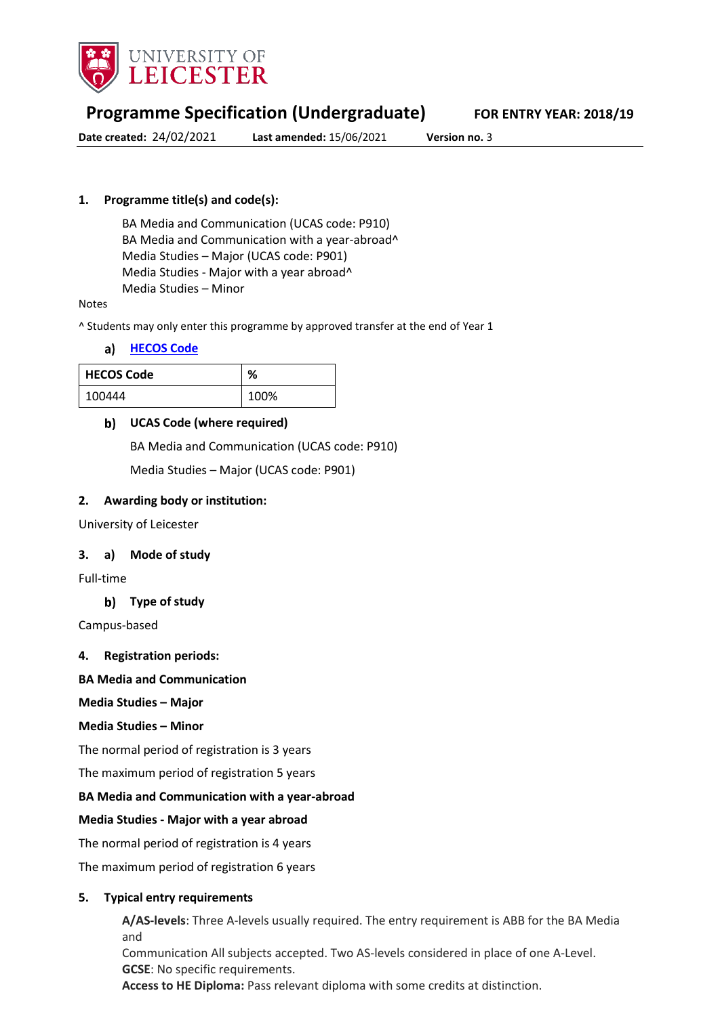

# **Programme Specification (Undergraduate) FOR ENTRY YEAR: 2018/19**

**Date created:** 24/02/2021 **Last amended:** 15/06/2021 **Version no.** 3

### **1. Programme title(s) and code(s):**

BA Media and Communication (UCAS code: P910) BA Media and Communication with a year-abroad^ Media Studies – Major (UCAS code: P901) Media Studies - Major with a year abroad^ Media Studies – Minor

#### Notes

^ Students may only enter this programme by approved transfer at the end of Year 1

#### **[HECOS Code](https://www.hesa.ac.uk/innovation/hecos)**

| <b>HECOS Code</b> | ℅    |
|-------------------|------|
| 100444            | 100% |

#### **UCAS Code (where required)**

BA Media and Communication (UCAS code: P910)

Media Studies – Major (UCAS code: P901)

#### **2. Awarding body or institution:**

University of Leicester

#### **3. a) Mode of study**

Full-time

**Type of study**

Campus-based

**4. Registration periods:**

**BA Media and Communication**

**Media Studies – Major** 

#### **Media Studies – Minor**

The normal period of registration is 3 years

The maximum period of registration 5 years

#### **BA Media and Communication with a year-abroad**

#### **Media Studies - Major with a year abroad**

The normal period of registration is 4 years

The maximum period of registration 6 years

#### **5. Typical entry requirements**

**A/AS-levels**: Three A-levels usually required. The entry requirement is ABB for the BA Media and Communication All subjects accepted. Two AS-levels considered in place of one A-Level. **GCSE**: No specific requirements. **Access to HE Diploma:** Pass relevant diploma with some credits at distinction.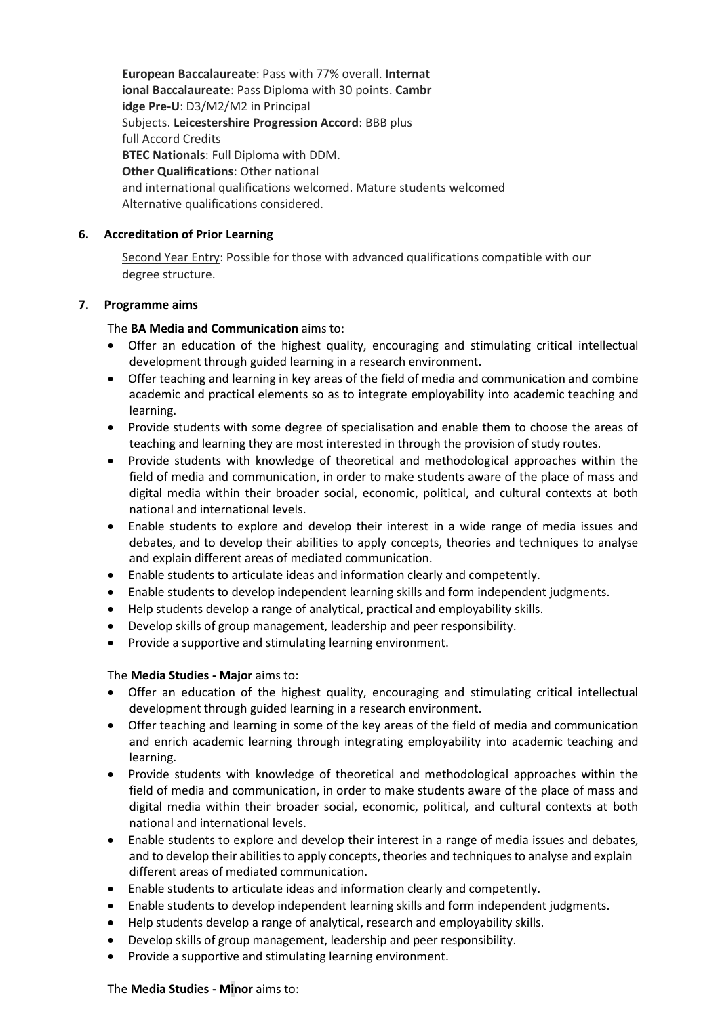**European Baccalaureate**: Pass with 77% overall. **Internat ional Baccalaureate**: Pass Diploma with 30 points. **Cambr idge Pre-U**: D3/M2/M2 in Principal Subjects. **Leicestershire Progression Accord**: BBB plus full Accord Credits **BTEC Nationals**: Full Diploma with DDM. **Other Qualifications**: Other national and international qualifications welcomed. Mature students welcomed Alternative qualifications considered.

### **6. Accreditation of Prior Learning**

Second Year Entry: Possible for those with advanced qualifications compatible with our degree structure.

#### **7. Programme aims**

### The **BA Media and Communication** aims to:

- Offer an education of the highest quality, encouraging and stimulating critical intellectual development through guided learning in a research environment.
- Offer teaching and learning in key areas of the field of media and communication and combine academic and practical elements so as to integrate employability into academic teaching and learning.
- Provide students with some degree of specialisation and enable them to choose the areas of teaching and learning they are most interested in through the provision of study routes.
- Provide students with knowledge of theoretical and methodological approaches within the field of media and communication, in order to make students aware of the place of mass and digital media within their broader social, economic, political, and cultural contexts at both national and international levels.
- Enable students to explore and develop their interest in a wide range of media issues and debates, and to develop their abilities to apply concepts, theories and techniques to analyse and explain different areas of mediated communication.
- Enable students to articulate ideas and information clearly and competently.
- Enable students to develop independent learning skills and form independent judgments.
- Help students develop a range of analytical, practical and employability skills.
- Develop skills of group management, leadership and peer responsibility.
- Provide a supportive and stimulating learning environment.

### The **Media Studies - Major** aims to:

- Offer an education of the highest quality, encouraging and stimulating critical intellectual development through guided learning in a research environment.
- Offer teaching and learning in some of the key areas of the field of media and communication and enrich academic learning through integrating employability into academic teaching and learning.
- Provide students with knowledge of theoretical and methodological approaches within the field of media and communication, in order to make students aware of the place of mass and digital media within their broader social, economic, political, and cultural contexts at both national and international levels.
- Enable students to explore and develop their interest in a range of media issues and debates, and to develop their abilities to apply concepts, theories and techniques to analyse and explain different areas of mediated communication.
- Enable students to articulate ideas and information clearly and competently.
- Enable students to develop independent learning skills and form independent judgments.
- Help students develop a range of analytical, research and employability skills.
- Develop skills of group management, leadership and peer responsibility.
- Provide a supportive and stimulating learning environment.

### The **Media Studies - Minor** aims to: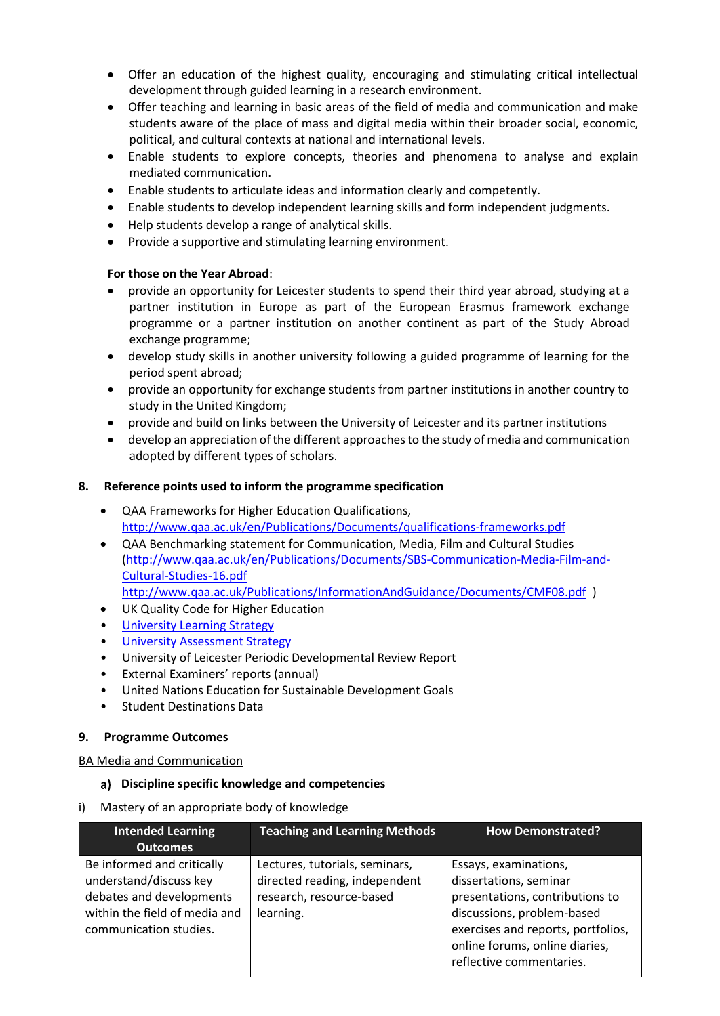- Offer an education of the highest quality, encouraging and stimulating critical intellectual development through guided learning in a research environment.
- Offer teaching and learning in basic areas of the field of media and communication and make students aware of the place of mass and digital media within their broader social, economic, political, and cultural contexts at national and international levels.
- Enable students to explore concepts, theories and phenomena to analyse and explain mediated communication.
- Enable students to articulate ideas and information clearly and competently.
- Enable students to develop independent learning skills and form independent judgments.
- Help students develop a range of analytical skills.
- Provide a supportive and stimulating learning environment.

#### **For those on the Year Abroad**:

- provide an opportunity for Leicester students to spend their third year abroad, studying at a partner institution in Europe as part of the European Erasmus framework exchange programme or a partner institution on another continent as part of the Study Abroad exchange programme;
- develop study skills in another university following a guided programme of learning for the period spent abroad;
- provide an opportunity for exchange students from partner institutions in another country to study in the United Kingdom;
- provide and build on links between the University of Leicester and its partner institutions
- develop an appreciation ofthe different approachesto the study of media and communication adopted by different types of scholars.

#### **8. Reference points used to inform the programme specification**

- QAA Frameworks for Higher Education Qualifications, <http://www.qaa.ac.uk/en/Publications/Documents/qualifications-frameworks.pdf>
- QAA Benchmarking statement for Communication, Media, Film and Cultural Studies [\(http://www.qaa.ac.uk/en/Publications/Documents/SBS-Communication-Media-Film-and-](http://www.qaa.ac.uk/en/Publications/Documents/SBS-Communication-Media-Film-and-Cultural-Studies-16.pdf)[Cultural-Studies-16.pdf](http://www.qaa.ac.uk/en/Publications/Documents/SBS-Communication-Media-Film-and-Cultural-Studies-16.pdf)

<http://www.qaa.ac.uk/Publications/InformationAndGuidance/Documents/CMF08.pdf>)

- UK Quality Code for Higher Education
- **University Learnin[g Strategy](https://www2.le.ac.uk/offices/sas2/quality/learnteach)**
- **[University Assessment Strategy](https://www2.le.ac.uk/offices/sas2/quality/learnteach)**
- University of Leicester Periodic Developmental Review Report
- External Examiners' reports (annual)
- United Nations Education for Sustainable Development Goals
- Student Destinations Data

#### **9. Programme Outcomes**

#### BA Media and Communication

#### **Discipline specific knowledge and competencies**

i) Mastery of an appropriate body of knowledge

| <b>Intended Learning</b>                                                                                                                    | <b>Teaching and Learning Methods</b>                                                                     | <b>How Demonstrated?</b>                                                                                                                                                                                             |
|---------------------------------------------------------------------------------------------------------------------------------------------|----------------------------------------------------------------------------------------------------------|----------------------------------------------------------------------------------------------------------------------------------------------------------------------------------------------------------------------|
| <b>Outcomes</b>                                                                                                                             |                                                                                                          |                                                                                                                                                                                                                      |
| Be informed and critically<br>understand/discuss key<br>debates and developments<br>within the field of media and<br>communication studies. | Lectures, tutorials, seminars,<br>directed reading, independent<br>research, resource-based<br>learning. | Essays, examinations,<br>dissertations, seminar<br>presentations, contributions to<br>discussions, problem-based<br>exercises and reports, portfolios,<br>online forums, online diaries,<br>reflective commentaries. |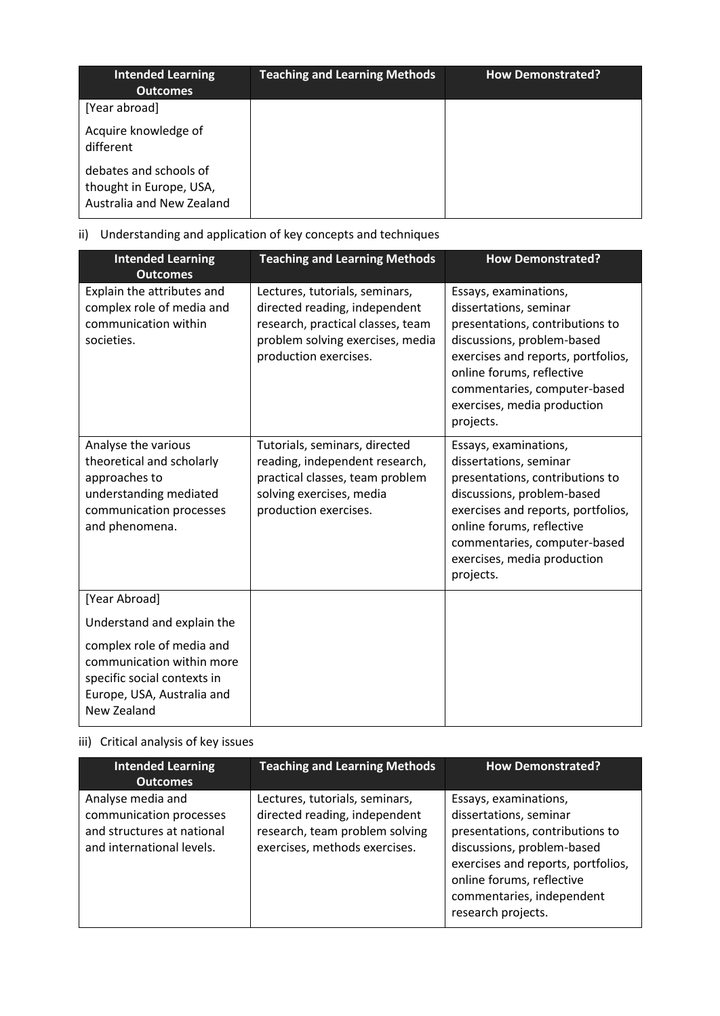| <b>Intended Learning</b><br><b>Outcomes</b>                                    | <b>Teaching and Learning Methods</b> | <b>How Demonstrated?</b> |
|--------------------------------------------------------------------------------|--------------------------------------|--------------------------|
| [Year abroad]                                                                  |                                      |                          |
| Acquire knowledge of<br>different                                              |                                      |                          |
| debates and schools of<br>thought in Europe, USA,<br>Australia and New Zealand |                                      |                          |

# ii) Understanding and application of key concepts and techniques

| <b>Intended Learning</b><br><b>Outcomes</b>                                                                                              | <b>Teaching and Learning Methods</b>                                                                                                                              | <b>How Demonstrated?</b>                                                                                                                                                                                                                                        |
|------------------------------------------------------------------------------------------------------------------------------------------|-------------------------------------------------------------------------------------------------------------------------------------------------------------------|-----------------------------------------------------------------------------------------------------------------------------------------------------------------------------------------------------------------------------------------------------------------|
| Explain the attributes and<br>complex role of media and<br>communication within<br>societies.                                            | Lectures, tutorials, seminars,<br>directed reading, independent<br>research, practical classes, team<br>problem solving exercises, media<br>production exercises. | Essays, examinations,<br>dissertations, seminar<br>presentations, contributions to<br>discussions, problem-based<br>exercises and reports, portfolios,<br>online forums, reflective<br>commentaries, computer-based<br>exercises, media production<br>projects. |
| Analyse the various<br>theoretical and scholarly<br>approaches to<br>understanding mediated<br>communication processes<br>and phenomena. | Tutorials, seminars, directed<br>reading, independent research,<br>practical classes, team problem<br>solving exercises, media<br>production exercises.           | Essays, examinations,<br>dissertations, seminar<br>presentations, contributions to<br>discussions, problem-based<br>exercises and reports, portfolios,<br>online forums, reflective<br>commentaries, computer-based<br>exercises, media production<br>projects. |
| [Year Abroad]                                                                                                                            |                                                                                                                                                                   |                                                                                                                                                                                                                                                                 |
| Understand and explain the                                                                                                               |                                                                                                                                                                   |                                                                                                                                                                                                                                                                 |
| complex role of media and<br>communication within more<br>specific social contexts in<br>Europe, USA, Australia and<br>New Zealand       |                                                                                                                                                                   |                                                                                                                                                                                                                                                                 |

# iii) Critical analysis of key issues

| <b>Intended Learning</b><br><b>Outcomes</b>                                                             | <b>Teaching and Learning Methods</b>                                                                                               | <b>How Demonstrated?</b>                                                                                                                                                                                                               |
|---------------------------------------------------------------------------------------------------------|------------------------------------------------------------------------------------------------------------------------------------|----------------------------------------------------------------------------------------------------------------------------------------------------------------------------------------------------------------------------------------|
| Analyse media and<br>communication processes<br>and structures at national<br>and international levels. | Lectures, tutorials, seminars,<br>directed reading, independent<br>research, team problem solving<br>exercises, methods exercises. | Essays, examinations,<br>dissertations, seminar<br>presentations, contributions to<br>discussions, problem-based<br>exercises and reports, portfolios,<br>online forums, reflective<br>commentaries, independent<br>research projects. |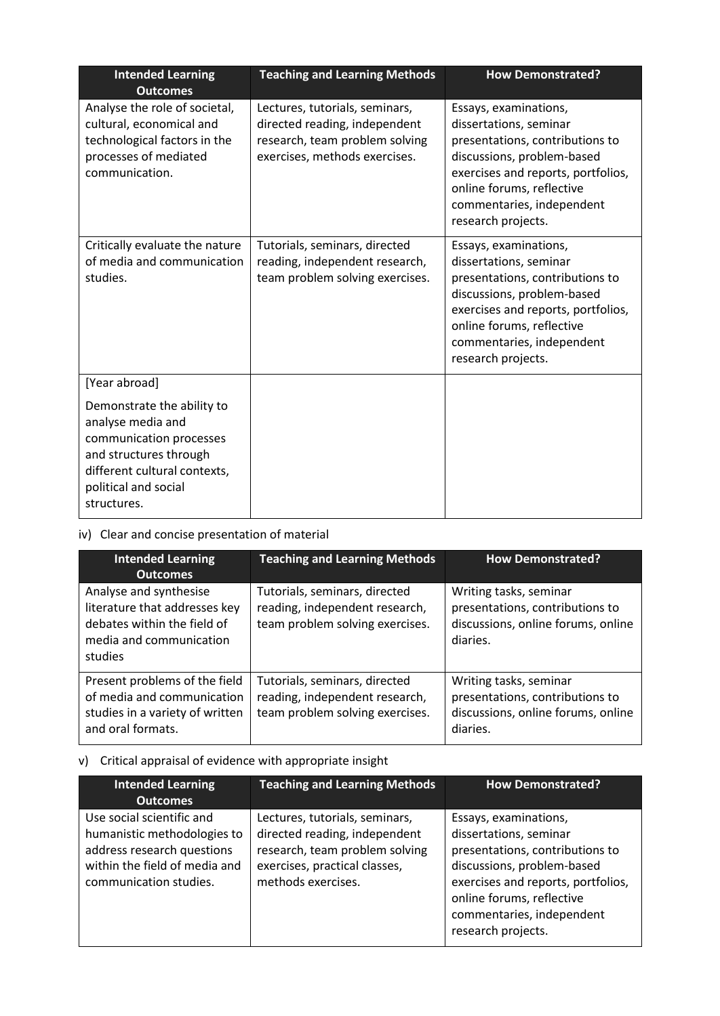| <b>Intended Learning</b><br><b>Outcomes</b>                                                                                                                                 | <b>Teaching and Learning Methods</b>                                                                                               | <b>How Demonstrated?</b>                                                                                                                                                                                                               |
|-----------------------------------------------------------------------------------------------------------------------------------------------------------------------------|------------------------------------------------------------------------------------------------------------------------------------|----------------------------------------------------------------------------------------------------------------------------------------------------------------------------------------------------------------------------------------|
| Analyse the role of societal,<br>cultural, economical and<br>technological factors in the<br>processes of mediated<br>communication.                                        | Lectures, tutorials, seminars,<br>directed reading, independent<br>research, team problem solving<br>exercises, methods exercises. | Essays, examinations,<br>dissertations, seminar<br>presentations, contributions to<br>discussions, problem-based<br>exercises and reports, portfolios,<br>online forums, reflective<br>commentaries, independent<br>research projects. |
| Critically evaluate the nature<br>of media and communication<br>studies.                                                                                                    | Tutorials, seminars, directed<br>reading, independent research,<br>team problem solving exercises.                                 | Essays, examinations,<br>dissertations, seminar<br>presentations, contributions to<br>discussions, problem-based<br>exercises and reports, portfolios,<br>online forums, reflective<br>commentaries, independent<br>research projects. |
| [Year abroad]                                                                                                                                                               |                                                                                                                                    |                                                                                                                                                                                                                                        |
| Demonstrate the ability to<br>analyse media and<br>communication processes<br>and structures through<br>different cultural contexts,<br>political and social<br>structures. |                                                                                                                                    |                                                                                                                                                                                                                                        |

## iv) Clear and concise presentation of material

| <b>Intended Learning</b><br><b>Outcomes</b>                                                                                  | <b>Teaching and Learning Methods</b>                                                               | <b>How Demonstrated?</b>                                                                                    |
|------------------------------------------------------------------------------------------------------------------------------|----------------------------------------------------------------------------------------------------|-------------------------------------------------------------------------------------------------------------|
| Analyse and synthesise<br>literature that addresses key<br>debates within the field of<br>media and communication<br>studies | Tutorials, seminars, directed<br>reading, independent research,<br>team problem solving exercises. | Writing tasks, seminar<br>presentations, contributions to<br>discussions, online forums, online<br>diaries. |
| Present problems of the field<br>of media and communication<br>studies in a variety of written<br>and oral formats.          | Tutorials, seminars, directed<br>reading, independent research,<br>team problem solving exercises. | Writing tasks, seminar<br>presentations, contributions to<br>discussions, online forums, online<br>diaries. |

# v) Critical appraisal of evidence with appropriate insight

| <b>Intended Learning</b><br><b>Outcomes</b>                                                                                                       | <b>Teaching and Learning Methods</b>                                                                                                                     | <b>How Demonstrated?</b>                                                                                                                                                                                                               |
|---------------------------------------------------------------------------------------------------------------------------------------------------|----------------------------------------------------------------------------------------------------------------------------------------------------------|----------------------------------------------------------------------------------------------------------------------------------------------------------------------------------------------------------------------------------------|
| Use social scientific and<br>humanistic methodologies to<br>address research questions<br>within the field of media and<br>communication studies. | Lectures, tutorials, seminars,<br>directed reading, independent<br>research, team problem solving<br>exercises, practical classes,<br>methods exercises. | Essays, examinations,<br>dissertations, seminar<br>presentations, contributions to<br>discussions, problem-based<br>exercises and reports, portfolios,<br>online forums, reflective<br>commentaries, independent<br>research projects. |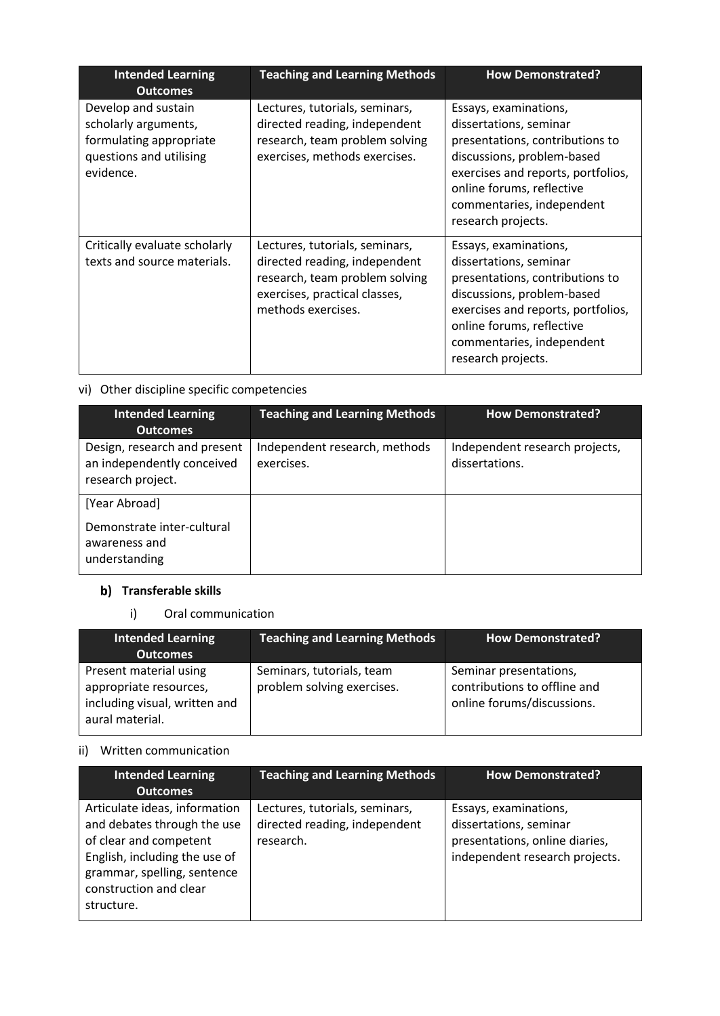| <b>Intended Learning</b><br><b>Outcomes</b>                                                                    | <b>Teaching and Learning Methods</b>                                                                                                                     | <b>How Demonstrated?</b>                                                                                                                                                                                                               |
|----------------------------------------------------------------------------------------------------------------|----------------------------------------------------------------------------------------------------------------------------------------------------------|----------------------------------------------------------------------------------------------------------------------------------------------------------------------------------------------------------------------------------------|
| Develop and sustain<br>scholarly arguments,<br>formulating appropriate<br>questions and utilising<br>evidence. | Lectures, tutorials, seminars,<br>directed reading, independent<br>research, team problem solving<br>exercises, methods exercises.                       | Essays, examinations,<br>dissertations, seminar<br>presentations, contributions to<br>discussions, problem-based<br>exercises and reports, portfolios,<br>online forums, reflective<br>commentaries, independent<br>research projects. |
| Critically evaluate scholarly<br>texts and source materials.                                                   | Lectures, tutorials, seminars,<br>directed reading, independent<br>research, team problem solving<br>exercises, practical classes,<br>methods exercises. | Essays, examinations,<br>dissertations, seminar<br>presentations, contributions to<br>discussions, problem-based<br>exercises and reports, portfolios,<br>online forums, reflective<br>commentaries, independent<br>research projects. |

## vi) Other discipline specific competencies

| <b>Intended Learning</b><br><b>Outcomes</b>                                     | <b>Teaching and Learning Methods</b>        | <b>How Demonstrated?</b>                         |
|---------------------------------------------------------------------------------|---------------------------------------------|--------------------------------------------------|
| Design, research and present<br>an independently conceived<br>research project. | Independent research, methods<br>exercises. | Independent research projects,<br>dissertations. |
| [Year Abroad]<br>Demonstrate inter-cultural<br>awareness and<br>understanding   |                                             |                                                  |

# **b**) Transferable skills

## i) Oral communication

| <b>Intended Learning</b><br><b>Outcomes</b>                                                          | <b>Teaching and Learning Methods</b>                    | <b>How Demonstrated?</b>                                                             |
|------------------------------------------------------------------------------------------------------|---------------------------------------------------------|--------------------------------------------------------------------------------------|
| Present material using<br>appropriate resources,<br>including visual, written and<br>aural material. | Seminars, tutorials, team<br>problem solving exercises. | Seminar presentations,<br>contributions to offline and<br>online forums/discussions. |

## ii) Written communication

| <b>Intended Learning</b><br><b>Outcomes</b>                                                                                                                                                    | <b>Teaching and Learning Methods</b>                                         | <b>How Demonstrated?</b>                                                                                            |
|------------------------------------------------------------------------------------------------------------------------------------------------------------------------------------------------|------------------------------------------------------------------------------|---------------------------------------------------------------------------------------------------------------------|
| Articulate ideas, information<br>and debates through the use<br>of clear and competent<br>English, including the use of<br>grammar, spelling, sentence<br>construction and clear<br>structure. | Lectures, tutorials, seminars,<br>directed reading, independent<br>research. | Essays, examinations,<br>dissertations, seminar<br>presentations, online diaries,<br>independent research projects. |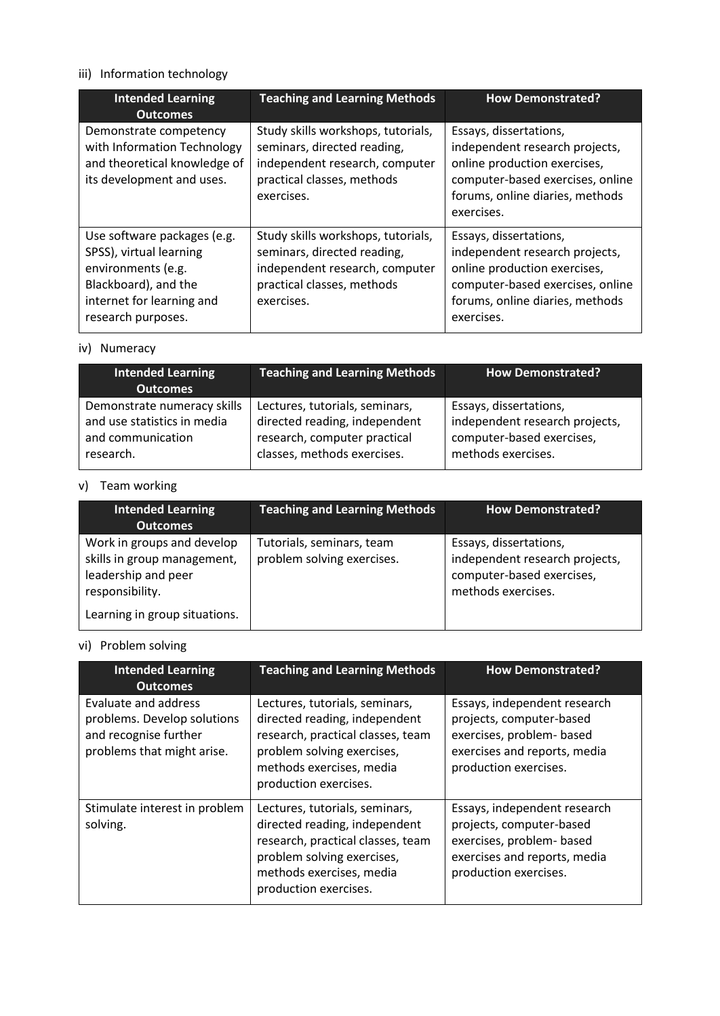# iii) Information technology

| <b>Intended Learning</b><br><b>Outcomes</b>                                                                                                             | <b>Teaching and Learning Methods</b>                                                                                                            | <b>How Demonstrated?</b>                                                                                                                                                      |
|---------------------------------------------------------------------------------------------------------------------------------------------------------|-------------------------------------------------------------------------------------------------------------------------------------------------|-------------------------------------------------------------------------------------------------------------------------------------------------------------------------------|
| Demonstrate competency<br>with Information Technology<br>and theoretical knowledge of<br>its development and uses.                                      | Study skills workshops, tutorials,<br>seminars, directed reading,<br>independent research, computer<br>practical classes, methods<br>exercises. | Essays, dissertations,<br>independent research projects,<br>online production exercises,<br>computer-based exercises, online<br>forums, online diaries, methods<br>exercises. |
| Use software packages (e.g.<br>SPSS), virtual learning<br>environments (e.g.<br>Blackboard), and the<br>internet for learning and<br>research purposes. | Study skills workshops, tutorials,<br>seminars, directed reading,<br>independent research, computer<br>practical classes, methods<br>exercises. | Essays, dissertations,<br>independent research projects,<br>online production exercises,<br>computer-based exercises, online<br>forums, online diaries, methods<br>exercises. |

### iv) Numeracy

| <b>Intended Learning</b><br><b>Outcomes</b> | <b>Teaching and Learning Methods</b> | <b>How Demonstrated?</b>       |
|---------------------------------------------|--------------------------------------|--------------------------------|
| Demonstrate numeracy skills                 | Lectures, tutorials, seminars,       | Essays, dissertations,         |
| and use statistics in media                 | directed reading, independent        | independent research projects, |
| and communication                           | research, computer practical         | computer-based exercises,      |
| research.                                   | classes, methods exercises.          | methods exercises.             |

## v) Team working

| <b>Intended Learning</b><br><b>Outcomes</b>                                                         | <b>Teaching and Learning Methods</b>                    | How Demonstrated?                                                                                           |
|-----------------------------------------------------------------------------------------------------|---------------------------------------------------------|-------------------------------------------------------------------------------------------------------------|
| Work in groups and develop<br>skills in group management,<br>leadership and peer<br>responsibility. | Tutorials, seminars, team<br>problem solving exercises. | Essays, dissertations,<br>independent research projects,<br>computer-based exercises,<br>methods exercises. |
| Learning in group situations.                                                                       |                                                         |                                                                                                             |

# vi) Problem solving

| <b>Intended Learning</b><br><b>Outcomes</b>                                                                | <b>Teaching and Learning Methods</b>                                                                                                                                                    | <b>How Demonstrated?</b>                                                                                                                       |
|------------------------------------------------------------------------------------------------------------|-----------------------------------------------------------------------------------------------------------------------------------------------------------------------------------------|------------------------------------------------------------------------------------------------------------------------------------------------|
| Evaluate and address<br>problems. Develop solutions<br>and recognise further<br>problems that might arise. | Lectures, tutorials, seminars,<br>directed reading, independent<br>research, practical classes, team<br>problem solving exercises,<br>methods exercises, media<br>production exercises. | Essays, independent research<br>projects, computer-based<br>exercises, problem- based<br>exercises and reports, media<br>production exercises. |
| Stimulate interest in problem<br>solving.                                                                  | Lectures, tutorials, seminars,<br>directed reading, independent<br>research, practical classes, team<br>problem solving exercises,<br>methods exercises, media<br>production exercises. | Essays, independent research<br>projects, computer-based<br>exercises, problem- based<br>exercises and reports, media<br>production exercises. |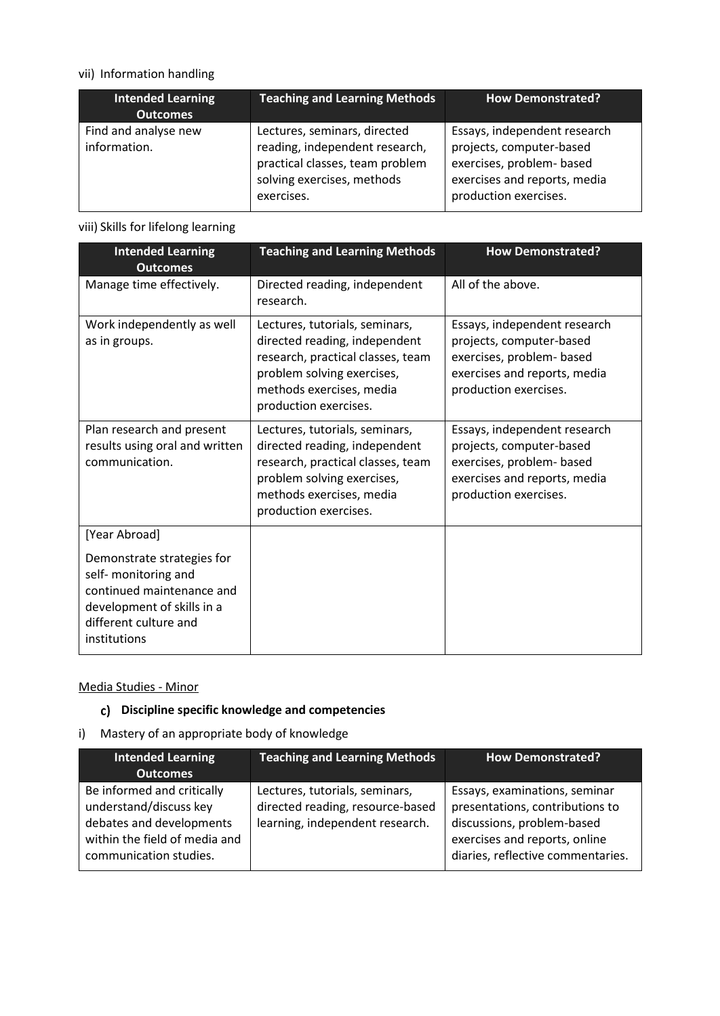## vii) Information handling

| <b>Intended Learning</b><br><b>Outcomes</b> | <b>Teaching and Learning Methods</b>                                                                                                          | <b>How Demonstrated?</b>                                                                                                                       |
|---------------------------------------------|-----------------------------------------------------------------------------------------------------------------------------------------------|------------------------------------------------------------------------------------------------------------------------------------------------|
| Find and analyse new<br>information.        | Lectures, seminars, directed<br>reading, independent research,<br>practical classes, team problem<br>solving exercises, methods<br>exercises. | Essays, independent research<br>projects, computer-based<br>exercises, problem- based<br>exercises and reports, media<br>production exercises. |

### viii) Skills for lifelong learning

| <b>Intended Learning</b><br><b>Outcomes</b>                                                                                                            | <b>Teaching and Learning Methods</b>                                                                                                                                                    | <b>How Demonstrated?</b>                                                                                                                       |
|--------------------------------------------------------------------------------------------------------------------------------------------------------|-----------------------------------------------------------------------------------------------------------------------------------------------------------------------------------------|------------------------------------------------------------------------------------------------------------------------------------------------|
| Manage time effectively.                                                                                                                               | Directed reading, independent<br>research.                                                                                                                                              | All of the above.                                                                                                                              |
| Work independently as well<br>as in groups.                                                                                                            | Lectures, tutorials, seminars,<br>directed reading, independent<br>research, practical classes, team<br>problem solving exercises,<br>methods exercises, media<br>production exercises. | Essays, independent research<br>projects, computer-based<br>exercises, problem- based<br>exercises and reports, media<br>production exercises. |
| Plan research and present<br>results using oral and written<br>communication.                                                                          | Lectures, tutorials, seminars,<br>directed reading, independent<br>research, practical classes, team<br>problem solving exercises,<br>methods exercises, media<br>production exercises. | Essays, independent research<br>projects, computer-based<br>exercises, problem- based<br>exercises and reports, media<br>production exercises. |
| [Year Abroad]                                                                                                                                          |                                                                                                                                                                                         |                                                                                                                                                |
| Demonstrate strategies for<br>self- monitoring and<br>continued maintenance and<br>development of skills in a<br>different culture and<br>institutions |                                                                                                                                                                                         |                                                                                                                                                |

## Media Studies - Minor

# **Discipline specific knowledge and competencies**

i) Mastery of an appropriate body of knowledge

| <b>Intended Learning</b><br><b>Outcomes</b>                                                                                                 | <b>Teaching and Learning Methods</b>                                                                  | <b>How Demonstrated?</b>                                                                                                                                             |
|---------------------------------------------------------------------------------------------------------------------------------------------|-------------------------------------------------------------------------------------------------------|----------------------------------------------------------------------------------------------------------------------------------------------------------------------|
| Be informed and critically<br>understand/discuss key<br>debates and developments<br>within the field of media and<br>communication studies. | Lectures, tutorials, seminars,<br>directed reading, resource-based<br>learning, independent research. | Essays, examinations, seminar<br>presentations, contributions to<br>discussions, problem-based<br>exercises and reports, online<br>diaries, reflective commentaries. |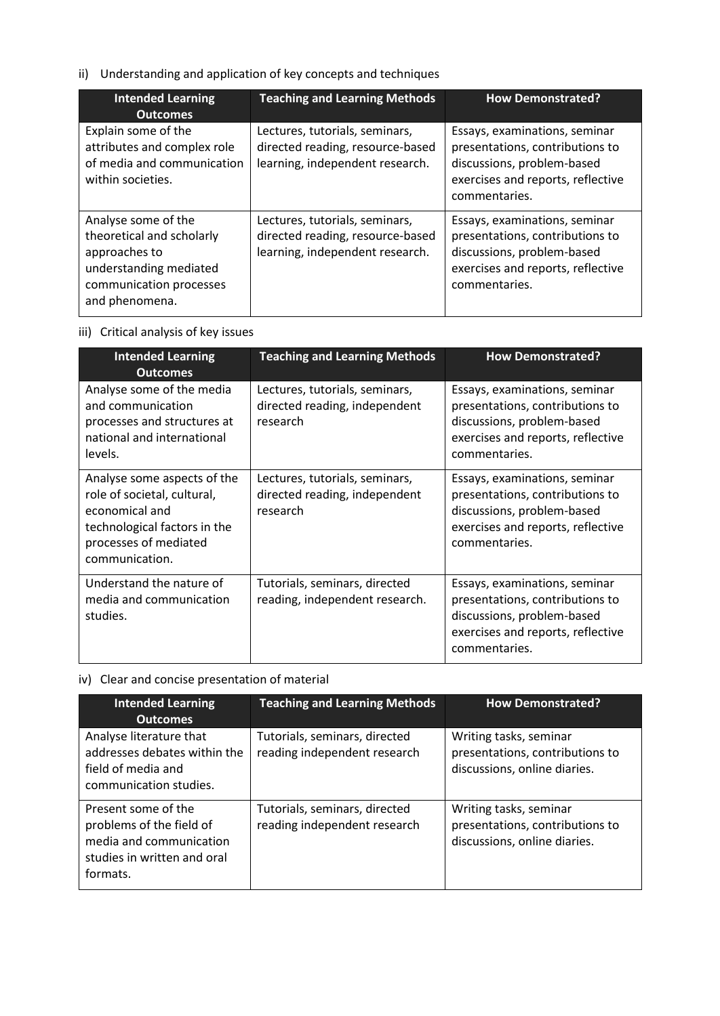# ii) Understanding and application of key concepts and techniques

| <b>Intended Learning</b><br><b>Outcomes</b>                                                                                              | <b>Teaching and Learning Methods</b>                                                                  | <b>How Demonstrated?</b>                                                                                                                             |
|------------------------------------------------------------------------------------------------------------------------------------------|-------------------------------------------------------------------------------------------------------|------------------------------------------------------------------------------------------------------------------------------------------------------|
| Explain some of the<br>attributes and complex role<br>of media and communication<br>within societies.                                    | Lectures, tutorials, seminars,<br>directed reading, resource-based<br>learning, independent research. | Essays, examinations, seminar<br>presentations, contributions to<br>discussions, problem-based<br>exercises and reports, reflective<br>commentaries. |
| Analyse some of the<br>theoretical and scholarly<br>approaches to<br>understanding mediated<br>communication processes<br>and phenomena. | Lectures, tutorials, seminars,<br>directed reading, resource-based<br>learning, independent research. | Essays, examinations, seminar<br>presentations, contributions to<br>discussions, problem-based<br>exercises and reports, reflective<br>commentaries. |

## iii) Critical analysis of key issues

| <b>Intended Learning</b><br><b>Outcomes</b>                                                                                                             | <b>Teaching and Learning Methods</b>                                        | <b>How Demonstrated?</b>                                                                                                                             |
|---------------------------------------------------------------------------------------------------------------------------------------------------------|-----------------------------------------------------------------------------|------------------------------------------------------------------------------------------------------------------------------------------------------|
| Analyse some of the media<br>and communication<br>processes and structures at<br>national and international<br>levels.                                  | Lectures, tutorials, seminars,<br>directed reading, independent<br>research | Essays, examinations, seminar<br>presentations, contributions to<br>discussions, problem-based<br>exercises and reports, reflective<br>commentaries. |
| Analyse some aspects of the<br>role of societal, cultural,<br>economical and<br>technological factors in the<br>processes of mediated<br>communication. | Lectures, tutorials, seminars,<br>directed reading, independent<br>research | Essays, examinations, seminar<br>presentations, contributions to<br>discussions, problem-based<br>exercises and reports, reflective<br>commentaries. |
| Understand the nature of<br>media and communication<br>studies.                                                                                         | Tutorials, seminars, directed<br>reading, independent research.             | Essays, examinations, seminar<br>presentations, contributions to<br>discussions, problem-based<br>exercises and reports, reflective<br>commentaries. |

## iv) Clear and concise presentation of material

| <b>Intended Learning</b><br><b>Outcomes</b>                                                                           | <b>Teaching and Learning Methods</b>                          | <b>How Demonstrated?</b>                                                                  |
|-----------------------------------------------------------------------------------------------------------------------|---------------------------------------------------------------|-------------------------------------------------------------------------------------------|
| Analyse literature that<br>addresses debates within the<br>field of media and<br>communication studies.               | Tutorials, seminars, directed<br>reading independent research | Writing tasks, seminar<br>presentations, contributions to<br>discussions, online diaries. |
| Present some of the<br>problems of the field of<br>media and communication<br>studies in written and oral<br>formats. | Tutorials, seminars, directed<br>reading independent research | Writing tasks, seminar<br>presentations, contributions to<br>discussions, online diaries. |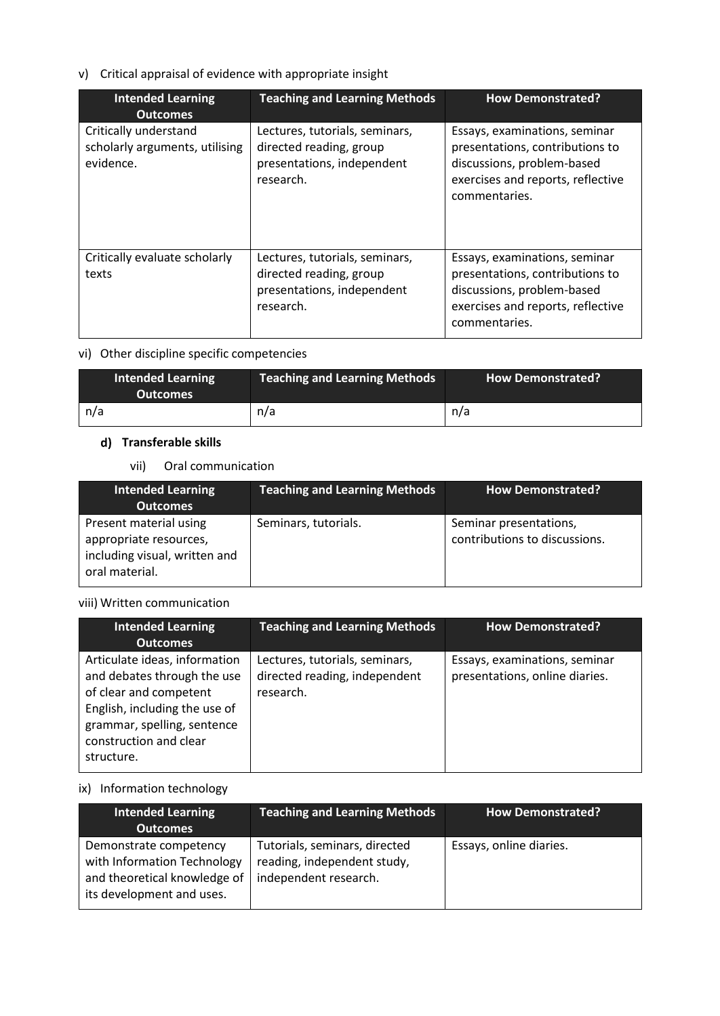## v) Critical appraisal of evidence with appropriate insight

| <b>Intended Learning</b><br><b>Outcomes</b>                          | <b>Teaching and Learning Methods</b>                                                                 | <b>How Demonstrated?</b>                                                                                                                             |
|----------------------------------------------------------------------|------------------------------------------------------------------------------------------------------|------------------------------------------------------------------------------------------------------------------------------------------------------|
| Critically understand<br>scholarly arguments, utilising<br>evidence. | Lectures, tutorials, seminars,<br>directed reading, group<br>presentations, independent<br>research. | Essays, examinations, seminar<br>presentations, contributions to<br>discussions, problem-based<br>exercises and reports, reflective<br>commentaries. |
| Critically evaluate scholarly<br>texts                               | Lectures, tutorials, seminars,<br>directed reading, group<br>presentations, independent<br>research. | Essays, examinations, seminar<br>presentations, contributions to<br>discussions, problem-based<br>exercises and reports, reflective<br>commentaries. |

### vi) Other discipline specific competencies

| <b>Intended Learning</b><br><b>Outcomes</b> | <b>Teaching and Learning Methods</b> | <b>How Demonstrated?</b> |
|---------------------------------------------|--------------------------------------|--------------------------|
| n/a                                         | n/a                                  | n/a                      |

### **Transferable skills**

### vii) Oral communication

| <b>Intended Learning</b><br><b>Outcomes</b>                                                         | <b>Teaching and Learning Methods</b> | <b>How Demonstrated?</b>                                |
|-----------------------------------------------------------------------------------------------------|--------------------------------------|---------------------------------------------------------|
| Present material using<br>appropriate resources,<br>including visual, written and<br>oral material. | Seminars, tutorials.                 | Seminar presentations,<br>contributions to discussions. |

#### viii) Written communication

| <b>Intended Learning</b><br><b>Outcomes</b>                                                                                                                                                    | <b>Teaching and Learning Methods</b>                                         | <b>How Demonstrated?</b>                                        |
|------------------------------------------------------------------------------------------------------------------------------------------------------------------------------------------------|------------------------------------------------------------------------------|-----------------------------------------------------------------|
| Articulate ideas, information<br>and debates through the use<br>of clear and competent<br>English, including the use of<br>grammar, spelling, sentence<br>construction and clear<br>structure. | Lectures, tutorials, seminars,<br>directed reading, independent<br>research. | Essays, examinations, seminar<br>presentations, online diaries. |

## ix) Information technology

| <b>Intended Learning</b><br><b>Outcomes</b>                                                                        | <b>Teaching and Learning Methods</b>                                                  | <b>How Demonstrated?</b> |
|--------------------------------------------------------------------------------------------------------------------|---------------------------------------------------------------------------------------|--------------------------|
| Demonstrate competency<br>with Information Technology<br>and theoretical knowledge of<br>its development and uses. | Tutorials, seminars, directed<br>reading, independent study,<br>independent research. | Essays, online diaries.  |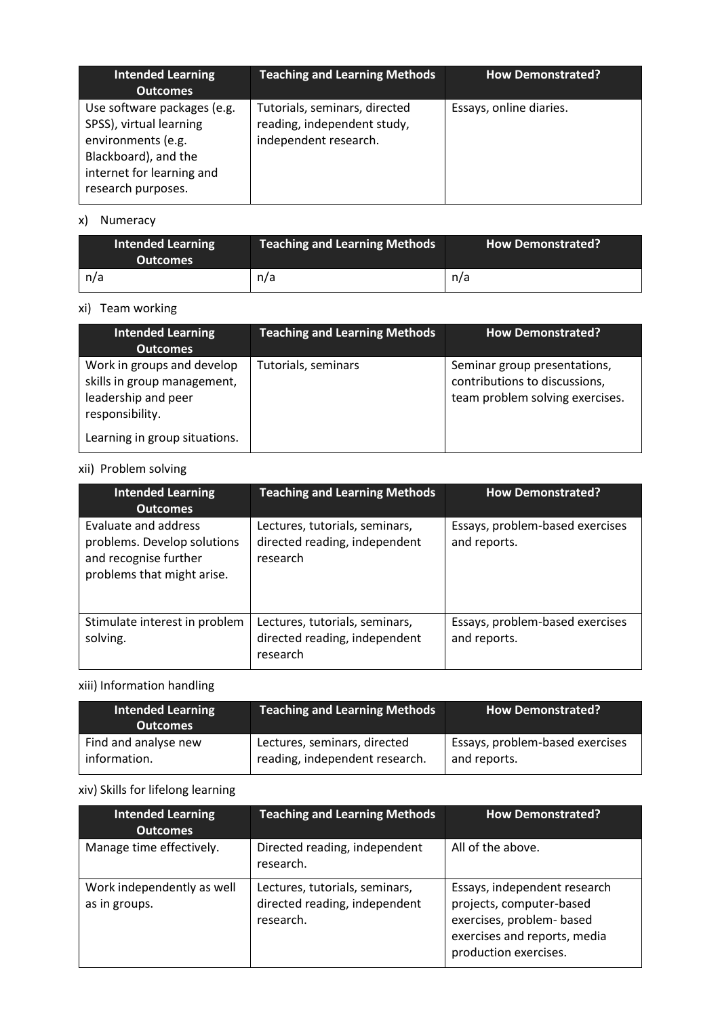| <b>Intended Learning</b><br><b>Outcomes</b>                                                                                                             | <b>Teaching and Learning Methods</b>                                                  | <b>How Demonstrated?</b> |
|---------------------------------------------------------------------------------------------------------------------------------------------------------|---------------------------------------------------------------------------------------|--------------------------|
| Use software packages (e.g.<br>SPSS), virtual learning<br>environments (e.g.<br>Blackboard), and the<br>internet for learning and<br>research purposes. | Tutorials, seminars, directed<br>reading, independent study,<br>independent research. | Essays, online diaries.  |

# x) Numeracy

| <b>Intended Learning</b><br><b>Outcomes</b> | <b>Teaching and Learning Methods</b> | <b>How Demonstrated?</b> |
|---------------------------------------------|--------------------------------------|--------------------------|
| n/a                                         | n/a                                  | n/a                      |

### xi) Team working

| <b>Intended Learning</b><br><b>Outcomes</b>                                                         | <b>Teaching and Learning Methods</b> | <b>How Demonstrated?</b>                                                                         |
|-----------------------------------------------------------------------------------------------------|--------------------------------------|--------------------------------------------------------------------------------------------------|
| Work in groups and develop<br>skills in group management,<br>leadership and peer<br>responsibility. | Tutorials, seminars                  | Seminar group presentations,<br>contributions to discussions,<br>team problem solving exercises. |
| Learning in group situations.                                                                       |                                      |                                                                                                  |

## xii) Problem solving

| <b>Intended Learning</b><br><b>Outcomes</b>                                                                | <b>Teaching and Learning Methods</b>                                        | <b>How Demonstrated?</b>                        |
|------------------------------------------------------------------------------------------------------------|-----------------------------------------------------------------------------|-------------------------------------------------|
| Evaluate and address<br>problems. Develop solutions<br>and recognise further<br>problems that might arise. | Lectures, tutorials, seminars,<br>directed reading, independent<br>research | Essays, problem-based exercises<br>and reports. |
| Stimulate interest in problem<br>solving.                                                                  | Lectures, tutorials, seminars,<br>directed reading, independent<br>research | Essays, problem-based exercises<br>and reports. |

# xiii) Information handling

| <b>Intended Learning</b><br><b>Outcomes</b> | <b>Teaching and Learning Methods</b> | <b>How Demonstrated?</b>        |
|---------------------------------------------|--------------------------------------|---------------------------------|
| Find and analyse new                        | Lectures, seminars, directed         | Essays, problem-based exercises |
| information.                                | reading, independent research.       | and reports.                    |

# xiv) Skills for lifelong learning

| <b>Intended Learning</b><br><b>Outcomes</b> | <b>Teaching and Learning Methods</b>                                         | <b>How Demonstrated?</b>                                                                                                                       |
|---------------------------------------------|------------------------------------------------------------------------------|------------------------------------------------------------------------------------------------------------------------------------------------|
| Manage time effectively.                    | Directed reading, independent<br>research.                                   | All of the above.                                                                                                                              |
| Work independently as well<br>as in groups. | Lectures, tutorials, seminars,<br>directed reading, independent<br>research. | Essays, independent research<br>projects, computer-based<br>exercises, problem- based<br>exercises and reports, media<br>production exercises. |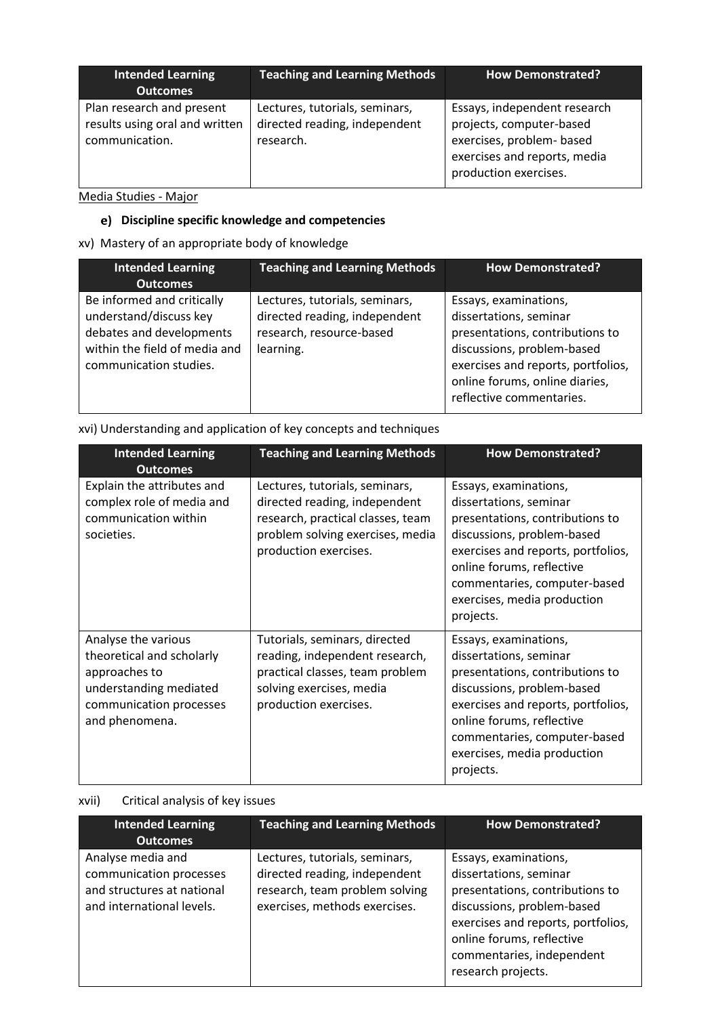| <b>Intended Learning</b><br><b>Outcomes</b>                                   | <b>Teaching and Learning Methods</b>                                         | <b>How Demonstrated?</b>                                                                                                                       |
|-------------------------------------------------------------------------------|------------------------------------------------------------------------------|------------------------------------------------------------------------------------------------------------------------------------------------|
| Plan research and present<br>results using oral and written<br>communication. | Lectures, tutorials, seminars,<br>directed reading, independent<br>research. | Essays, independent research<br>projects, computer-based<br>exercises, problem- based<br>exercises and reports, media<br>production exercises. |

# Media Studies - Major

# **Discipline specific knowledge and competencies**

## xv) Mastery of an appropriate body of knowledge

| <b>Intended Learning</b><br><b>Outcomes</b>                                                                                                 | <b>Teaching and Learning Methods</b>                                                                     | <b>How Demonstrated?</b>                                                                                                                                                                                             |
|---------------------------------------------------------------------------------------------------------------------------------------------|----------------------------------------------------------------------------------------------------------|----------------------------------------------------------------------------------------------------------------------------------------------------------------------------------------------------------------------|
| Be informed and critically<br>understand/discuss key<br>debates and developments<br>within the field of media and<br>communication studies. | Lectures, tutorials, seminars,<br>directed reading, independent<br>research, resource-based<br>learning. | Essays, examinations,<br>dissertations, seminar<br>presentations, contributions to<br>discussions, problem-based<br>exercises and reports, portfolios,<br>online forums, online diaries,<br>reflective commentaries. |

| xvi) Understanding and application of key concepts and techniques |
|-------------------------------------------------------------------|
|-------------------------------------------------------------------|

| <b>Intended Learning</b><br><b>Outcomes</b>                                                                                              | <b>Teaching and Learning Methods</b>                                                                                                                              | <b>How Demonstrated?</b>                                                                                                                                                                                                                                        |
|------------------------------------------------------------------------------------------------------------------------------------------|-------------------------------------------------------------------------------------------------------------------------------------------------------------------|-----------------------------------------------------------------------------------------------------------------------------------------------------------------------------------------------------------------------------------------------------------------|
| Explain the attributes and<br>complex role of media and<br>communication within<br>societies.                                            | Lectures, tutorials, seminars,<br>directed reading, independent<br>research, practical classes, team<br>problem solving exercises, media<br>production exercises. | Essays, examinations,<br>dissertations, seminar<br>presentations, contributions to<br>discussions, problem-based<br>exercises and reports, portfolios,<br>online forums, reflective<br>commentaries, computer-based<br>exercises, media production<br>projects. |
| Analyse the various<br>theoretical and scholarly<br>approaches to<br>understanding mediated<br>communication processes<br>and phenomena. | Tutorials, seminars, directed<br>reading, independent research,<br>practical classes, team problem<br>solving exercises, media<br>production exercises.           | Essays, examinations,<br>dissertations, seminar<br>presentations, contributions to<br>discussions, problem-based<br>exercises and reports, portfolios,<br>online forums, reflective<br>commentaries, computer-based<br>exercises, media production<br>projects. |

## xvii) Critical analysis of key issues

| <b>Intended Learning</b><br><b>Outcomes</b>                                                             | <b>Teaching and Learning Methods</b>                                                                                               | <b>How Demonstrated?</b>                                                                                                                                                                                                               |
|---------------------------------------------------------------------------------------------------------|------------------------------------------------------------------------------------------------------------------------------------|----------------------------------------------------------------------------------------------------------------------------------------------------------------------------------------------------------------------------------------|
| Analyse media and<br>communication processes<br>and structures at national<br>and international levels. | Lectures, tutorials, seminars,<br>directed reading, independent<br>research, team problem solving<br>exercises, methods exercises. | Essays, examinations,<br>dissertations, seminar<br>presentations, contributions to<br>discussions, problem-based<br>exercises and reports, portfolios,<br>online forums, reflective<br>commentaries, independent<br>research projects. |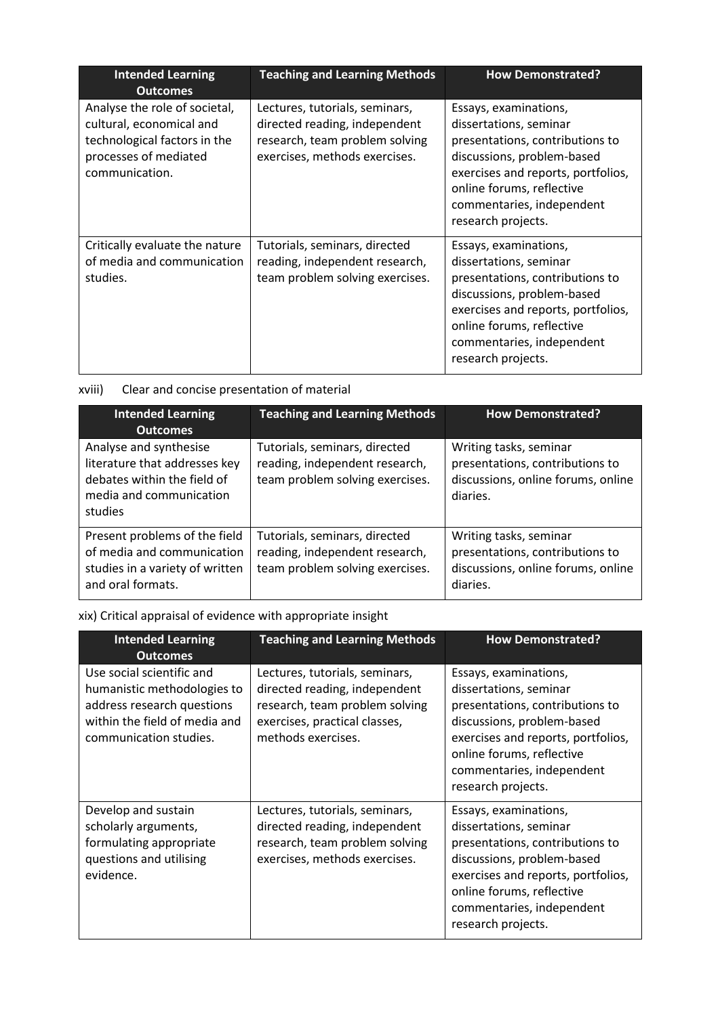| <b>Intended Learning</b><br><b>Outcomes</b>                                                                                          | <b>Teaching and Learning Methods</b>                                                                                               | <b>How Demonstrated?</b>                                                                                                                                                                                                               |
|--------------------------------------------------------------------------------------------------------------------------------------|------------------------------------------------------------------------------------------------------------------------------------|----------------------------------------------------------------------------------------------------------------------------------------------------------------------------------------------------------------------------------------|
| Analyse the role of societal,<br>cultural, economical and<br>technological factors in the<br>processes of mediated<br>communication. | Lectures, tutorials, seminars,<br>directed reading, independent<br>research, team problem solving<br>exercises, methods exercises. | Essays, examinations,<br>dissertations, seminar<br>presentations, contributions to<br>discussions, problem-based<br>exercises and reports, portfolios,<br>online forums, reflective<br>commentaries, independent<br>research projects. |
| Critically evaluate the nature<br>of media and communication<br>studies.                                                             | Tutorials, seminars, directed<br>reading, independent research,<br>team problem solving exercises.                                 | Essays, examinations,<br>dissertations, seminar<br>presentations, contributions to<br>discussions, problem-based<br>exercises and reports, portfolios,<br>online forums, reflective<br>commentaries, independent<br>research projects. |

| xviii) |  |  | Clear and concise presentation of material |  |
|--------|--|--|--------------------------------------------|--|
|--------|--|--|--------------------------------------------|--|

| <b>Intended Learning</b><br><b>Outcomes</b>                                                                                  | <b>Teaching and Learning Methods</b>                                                               | <b>How Demonstrated?</b>                                                                                    |
|------------------------------------------------------------------------------------------------------------------------------|----------------------------------------------------------------------------------------------------|-------------------------------------------------------------------------------------------------------------|
| Analyse and synthesise<br>literature that addresses key<br>debates within the field of<br>media and communication<br>studies | Tutorials, seminars, directed<br>reading, independent research,<br>team problem solving exercises. | Writing tasks, seminar<br>presentations, contributions to<br>discussions, online forums, online<br>diaries. |
| Present problems of the field<br>of media and communication<br>studies in a variety of written<br>and oral formats.          | Tutorials, seminars, directed<br>reading, independent research,<br>team problem solving exercises. | Writing tasks, seminar<br>presentations, contributions to<br>discussions, online forums, online<br>diaries. |

xix) Critical appraisal of evidence with appropriate insight

| <b>Intended Learning</b><br><b>Outcomes</b>                                                                                                       | <b>Teaching and Learning Methods</b>                                                                                                                     | <b>How Demonstrated?</b>                                                                                                                                                                                                               |
|---------------------------------------------------------------------------------------------------------------------------------------------------|----------------------------------------------------------------------------------------------------------------------------------------------------------|----------------------------------------------------------------------------------------------------------------------------------------------------------------------------------------------------------------------------------------|
| Use social scientific and<br>humanistic methodologies to<br>address research questions<br>within the field of media and<br>communication studies. | Lectures, tutorials, seminars,<br>directed reading, independent<br>research, team problem solving<br>exercises, practical classes,<br>methods exercises. | Essays, examinations,<br>dissertations, seminar<br>presentations, contributions to<br>discussions, problem-based<br>exercises and reports, portfolios,<br>online forums, reflective<br>commentaries, independent<br>research projects. |
| Develop and sustain<br>scholarly arguments,<br>formulating appropriate<br>questions and utilising<br>evidence.                                    | Lectures, tutorials, seminars,<br>directed reading, independent<br>research, team problem solving<br>exercises, methods exercises.                       | Essays, examinations,<br>dissertations, seminar<br>presentations, contributions to<br>discussions, problem-based<br>exercises and reports, portfolios,<br>online forums, reflective<br>commentaries, independent<br>research projects. |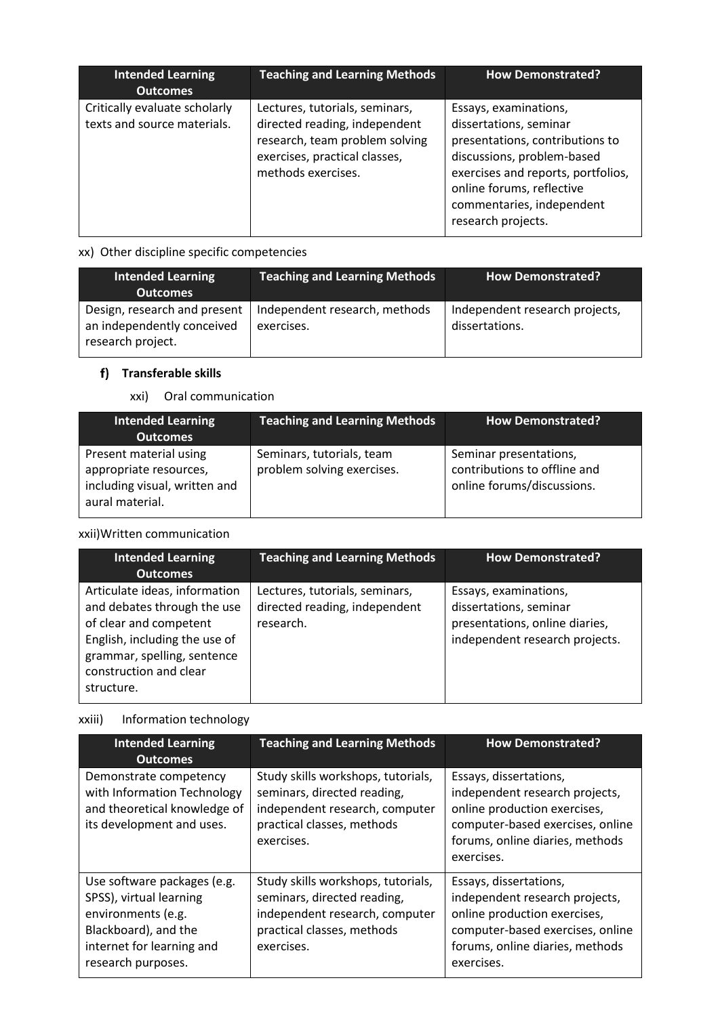| <b>Intended Learning</b><br><b>Outcomes</b>                  | <b>Teaching and Learning Methods</b>                                                                                                                     | <b>How Demonstrated?</b>                                                                                                                                                                                                               |
|--------------------------------------------------------------|----------------------------------------------------------------------------------------------------------------------------------------------------------|----------------------------------------------------------------------------------------------------------------------------------------------------------------------------------------------------------------------------------------|
| Critically evaluate scholarly<br>texts and source materials. | Lectures, tutorials, seminars,<br>directed reading, independent<br>research, team problem solving<br>exercises, practical classes,<br>methods exercises. | Essays, examinations,<br>dissertations, seminar<br>presentations, contributions to<br>discussions, problem-based<br>exercises and reports, portfolios,<br>online forums, reflective<br>commentaries, independent<br>research projects. |

## xx) Other discipline specific competencies

| <b>Intended Learning</b><br><b>Outcomes</b>                                     | <b>Teaching and Learning Methods</b>        | <b>How Demonstrated?</b>                         |
|---------------------------------------------------------------------------------|---------------------------------------------|--------------------------------------------------|
| Design, research and present<br>an independently conceived<br>research project. | Independent research, methods<br>exercises. | Independent research projects,<br>dissertations. |

## **Transferable skills**

### xxi) Oral communication

| <b>Intended Learning</b><br><b>Outcomes</b>                                                          | <b>Teaching and Learning Methods</b>                    | <b>How Demonstrated?</b>                                                             |
|------------------------------------------------------------------------------------------------------|---------------------------------------------------------|--------------------------------------------------------------------------------------|
| Present material using<br>appropriate resources,<br>including visual, written and<br>aural material. | Seminars, tutorials, team<br>problem solving exercises. | Seminar presentations,<br>contributions to offline and<br>online forums/discussions. |

### xxii)Written communication

| <b>Intended Learning</b><br><b>Outcomes</b>                                                                                                                                                    | <b>Teaching and Learning Methods</b>                                         | <b>How Demonstrated?</b>                                                                                            |
|------------------------------------------------------------------------------------------------------------------------------------------------------------------------------------------------|------------------------------------------------------------------------------|---------------------------------------------------------------------------------------------------------------------|
| Articulate ideas, information<br>and debates through the use<br>of clear and competent<br>English, including the use of<br>grammar, spelling, sentence<br>construction and clear<br>structure. | Lectures, tutorials, seminars,<br>directed reading, independent<br>research. | Essays, examinations,<br>dissertations, seminar<br>presentations, online diaries,<br>independent research projects. |

### xxiii) Information technology

| <b>Intended Learning</b><br><b>Outcomes</b>                                                                                                             | <b>Teaching and Learning Methods</b>                                                                                                            | <b>How Demonstrated?</b>                                                                                                                                                      |
|---------------------------------------------------------------------------------------------------------------------------------------------------------|-------------------------------------------------------------------------------------------------------------------------------------------------|-------------------------------------------------------------------------------------------------------------------------------------------------------------------------------|
| Demonstrate competency<br>with Information Technology<br>and theoretical knowledge of<br>its development and uses.                                      | Study skills workshops, tutorials,<br>seminars, directed reading,<br>independent research, computer<br>practical classes, methods<br>exercises. | Essays, dissertations,<br>independent research projects,<br>online production exercises,<br>computer-based exercises, online<br>forums, online diaries, methods<br>exercises. |
| Use software packages (e.g.<br>SPSS), virtual learning<br>environments (e.g.<br>Blackboard), and the<br>internet for learning and<br>research purposes. | Study skills workshops, tutorials,<br>seminars, directed reading,<br>independent research, computer<br>practical classes, methods<br>exercises. | Essays, dissertations,<br>independent research projects,<br>online production exercises,<br>computer-based exercises, online<br>forums, online diaries, methods<br>exercises. |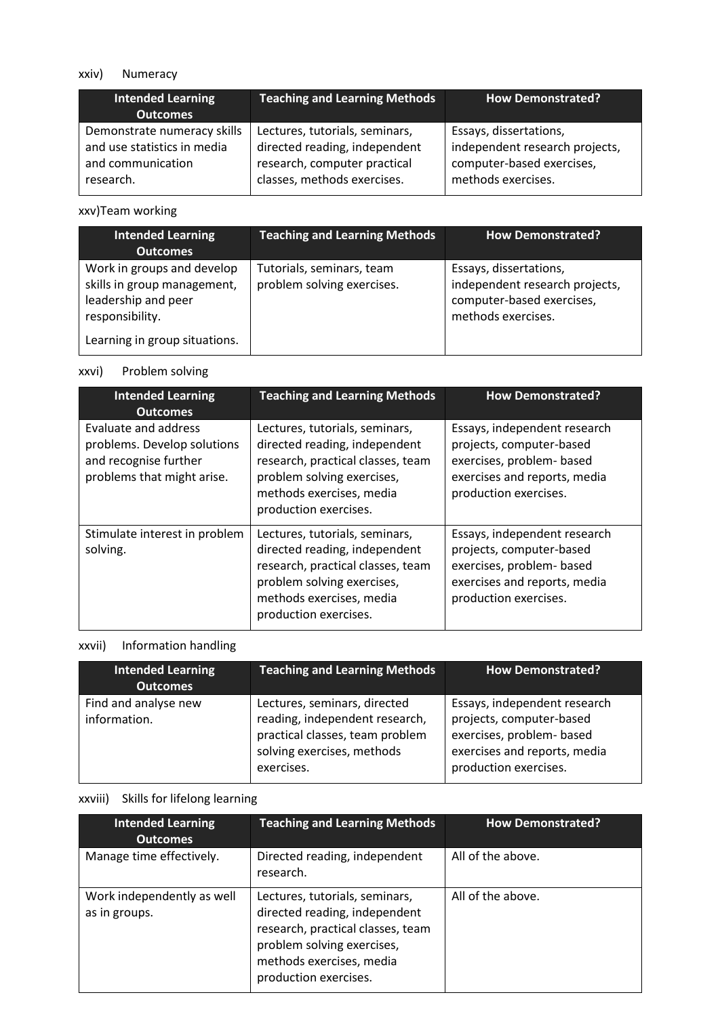### xxiv) Numeracy

| <b>Intended Learning</b><br><b>Outcomes</b> | <b>Teaching and Learning Methods</b> | <b>How Demonstrated?</b>       |
|---------------------------------------------|--------------------------------------|--------------------------------|
| Demonstrate numeracy skills                 | Lectures, tutorials, seminars,       | Essays, dissertations,         |
| and use statistics in media                 | directed reading, independent        | independent research projects, |
| and communication                           | research, computer practical         | computer-based exercises,      |
| research.                                   | classes, methods exercises.          | methods exercises.             |

## xxv)Team working

| <b>Intended Learning</b><br><b>Outcomes</b>                                                         | <b>Teaching and Learning Methods</b>                    | <b>How Demonstrated?</b>                                                                                    |
|-----------------------------------------------------------------------------------------------------|---------------------------------------------------------|-------------------------------------------------------------------------------------------------------------|
| Work in groups and develop<br>skills in group management,<br>leadership and peer<br>responsibility. | Tutorials, seminars, team<br>problem solving exercises. | Essays, dissertations,<br>independent research projects,<br>computer-based exercises,<br>methods exercises. |
| Learning in group situations.                                                                       |                                                         |                                                                                                             |

# xxvi) Problem solving

| <b>Intended Learning</b><br><b>Outcomes</b>                                                                | <b>Teaching and Learning Methods</b>                                                                                                                                                    | <b>How Demonstrated?</b>                                                                                                                       |
|------------------------------------------------------------------------------------------------------------|-----------------------------------------------------------------------------------------------------------------------------------------------------------------------------------------|------------------------------------------------------------------------------------------------------------------------------------------------|
| Evaluate and address<br>problems. Develop solutions<br>and recognise further<br>problems that might arise. | Lectures, tutorials, seminars,<br>directed reading, independent<br>research, practical classes, team<br>problem solving exercises,<br>methods exercises, media<br>production exercises. | Essays, independent research<br>projects, computer-based<br>exercises, problem- based<br>exercises and reports, media<br>production exercises. |
| Stimulate interest in problem<br>solving.                                                                  | Lectures, tutorials, seminars,<br>directed reading, independent<br>research, practical classes, team<br>problem solving exercises,<br>methods exercises, media<br>production exercises. | Essays, independent research<br>projects, computer-based<br>exercises, problem- based<br>exercises and reports, media<br>production exercises. |

# xxvii) Information handling

| <b>Intended Learning</b><br><b>Outcomes</b> | <b>Teaching and Learning Methods</b>                                                                                                          | <b>How Demonstrated?</b>                                                                                                                       |
|---------------------------------------------|-----------------------------------------------------------------------------------------------------------------------------------------------|------------------------------------------------------------------------------------------------------------------------------------------------|
| Find and analyse new<br>information.        | Lectures, seminars, directed<br>reading, independent research,<br>practical classes, team problem<br>solving exercises, methods<br>exercises. | Essays, independent research<br>projects, computer-based<br>exercises, problem- based<br>exercises and reports, media<br>production exercises. |

## xxviii) Skills for lifelong learning

| <b>Intended Learning</b><br><b>Outcomes</b> | <b>Teaching and Learning Methods</b>                                                                                                                                                    | <b>How Demonstrated?</b> |
|---------------------------------------------|-----------------------------------------------------------------------------------------------------------------------------------------------------------------------------------------|--------------------------|
| Manage time effectively.                    | Directed reading, independent<br>research.                                                                                                                                              | All of the above.        |
| Work independently as well<br>as in groups. | Lectures, tutorials, seminars,<br>directed reading, independent<br>research, practical classes, team<br>problem solving exercises,<br>methods exercises, media<br>production exercises. | All of the above.        |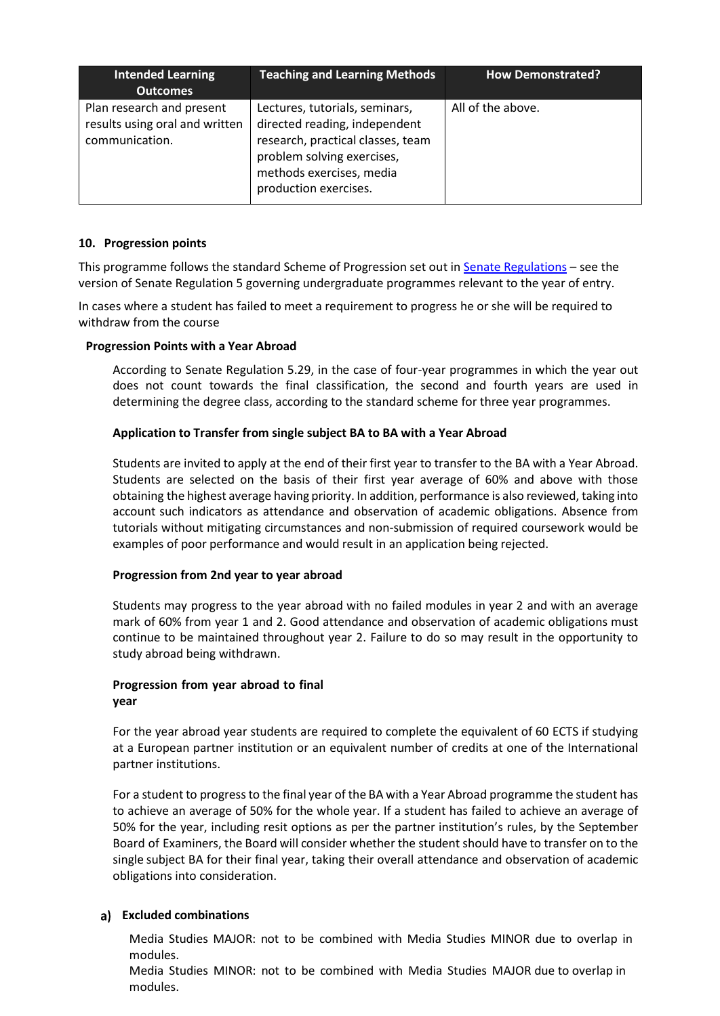| <b>Intended Learning</b><br><b>Outcomes</b>                                   | <b>Teaching and Learning Methods</b>                                                                                                                                                    | <b>How Demonstrated?</b> |
|-------------------------------------------------------------------------------|-----------------------------------------------------------------------------------------------------------------------------------------------------------------------------------------|--------------------------|
| Plan research and present<br>results using oral and written<br>communication. | Lectures, tutorials, seminars,<br>directed reading, independent<br>research, practical classes, team<br>problem solving exercises,<br>methods exercises, media<br>production exercises. | All of the above.        |

### **10. Progression points**

This programme follows the standard Scheme of Progression set out in [Senate Regulations](http://www.le.ac.uk/senate-regulations) – see the version of Senate Regulation 5 governing undergraduate programmes relevant to the year of entry.

In cases where a student has failed to meet a requirement to progress he or she will be required to withdraw from the course

#### **Progression Points with a Year Abroad**

According to Senate Regulation 5.29, in the case of four-year programmes in which the year out does not count towards the final classification, the second and fourth years are used in determining the degree class, according to the standard scheme for three year programmes.

### **Application to Transfer from single subject BA to BA with a Year Abroad**

Students are invited to apply at the end of their first year to transfer to the BA with a Year Abroad. Students are selected on the basis of their first year average of 60% and above with those obtaining the highest average having priority. In addition, performance is also reviewed, taking into account such indicators as attendance and observation of academic obligations. Absence from tutorials without mitigating circumstances and non-submission of required coursework would be examples of poor performance and would result in an application being rejected.

#### **Progression from 2nd year to year abroad**

Students may progress to the year abroad with no failed modules in year 2 and with an average mark of 60% from year 1 and 2. Good attendance and observation of academic obligations must continue to be maintained throughout year 2. Failure to do so may result in the opportunity to study abroad being withdrawn.

#### **Progression from year abroad to final year**

For the year abroad year students are required to complete the equivalent of 60 ECTS if studying at a European partner institution or an equivalent number of credits at one of the International partner institutions.

For a student to progressto the final year of the BA with a Year Abroad programme the student has to achieve an average of 50% for the whole year. If a student has failed to achieve an average of 50% for the year, including resit options as per the partner institution's rules, by the September Board of Examiners, the Board will consider whether the student should have to transfer on to the single subject BA for their final year, taking their overall attendance and observation of academic obligations into consideration.

### **Excluded combinations**

Media Studies MAJOR: not to be combined with Media Studies MINOR due to overlap in modules.

Media Studies MINOR: not to be combined with Media Studies MAJOR due to overlap in modules.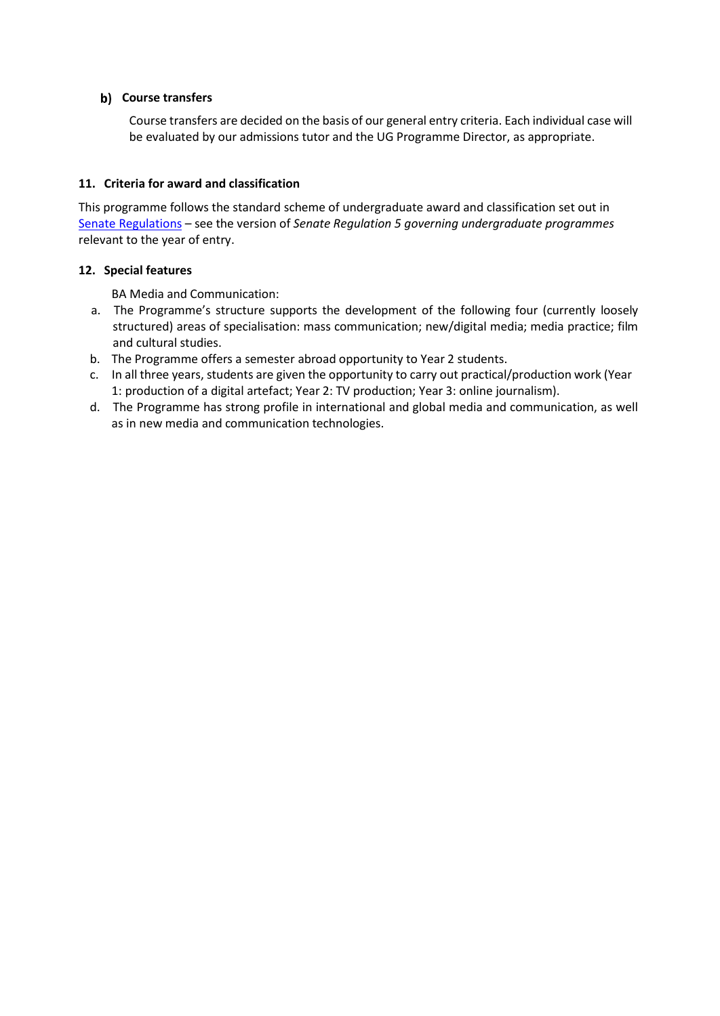### **b)** Course transfers

Course transfers are decided on the basis of our general entry criteria. Each individual case will be evaluated by our admissions tutor and the UG Programme Director, as appropriate.

#### **11. Criteria for award and classification**

This programme follows the standard scheme of undergraduate award and classification set out in [Senate Regulations](http://www.le.ac.uk/senate-regulations) – see the version of *Senate Regulation 5 governing undergraduate programmes* relevant to the year of entry.

### **12. Special features**

BA Media and Communication:

- a. The Programme's structure supports the development of the following four (currently loosely structured) areas of specialisation: mass communication; new/digital media; media practice; film and cultural studies.
- b. The Programme offers a semester abroad opportunity to Year 2 students.
- c. In all three years, students are given the opportunity to carry out practical/production work (Year 1: production of a digital artefact; Year 2: TV production; Year 3: online journalism).
- d. The Programme has strong profile in international and global media and communication, as well as in new media and communication technologies.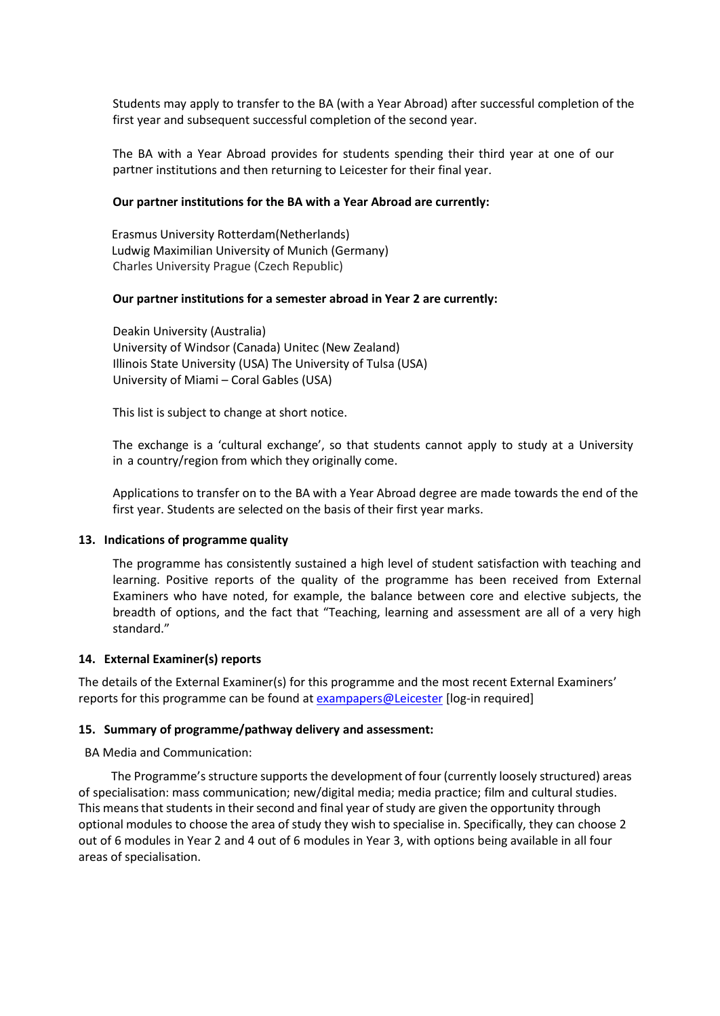Students may apply to transfer to the BA (with a Year Abroad) after successful completion of the first year and subsequent successful completion of the second year.

The BA with a Year Abroad provides for students spending their third year at one of our partner institutions and then returning to Leicester for their final year.

#### **Our partner institutions for the BA with a Year Abroad are currently:**

 Erasmus University Rotterdam(Netherlands) Ludwig Maximilian University of Munich (Germany) Charles University Prague (Czech Republic)

#### **Our partner institutions for a semester abroad in Year 2 are currently:**

Deakin University (Australia) University of Windsor (Canada) Unitec (New Zealand) Illinois State University (USA) The University of Tulsa (USA) University of Miami – Coral Gables (USA)

This list is subject to change at short notice.

The exchange is a 'cultural exchange', so that students cannot apply to study at a University in a country/region from which they originally come.

Applications to transfer on to the BA with a Year Abroad degree are made towards the end of the first year. Students are selected on the basis of their first year marks.

#### **13. Indications of programme quality**

The programme has consistently sustained a high level of student satisfaction with teaching and learning. Positive reports of the quality of the programme has been received from External Examiners who have noted, for example, the balance between core and elective subjects, the breadth of options, and the fact that "Teaching, learning and assessment are all of a very high standard."

#### **14. External Examiner(s) reports**

The details of the External Examiner(s) for this programme and the most recent External Examiners' reports for this programme can be found at [exampapers@Leicester](https://exampapers.le.ac.uk/) [log-in required]

#### **15. Summary of programme/pathway delivery and assessment:**

BA Media and Communication:

The Programme's structure supports the development of four (currently loosely structured) areas of specialisation: mass communication; new/digital media; media practice; film and cultural studies. This means that students in their second and final year of study are given the opportunity through optional modules to choose the area of study they wish to specialise in. Specifically, they can choose 2 out of 6 modules in Year 2 and 4 out of 6 modules in Year 3, with options being available in all four areas of specialisation.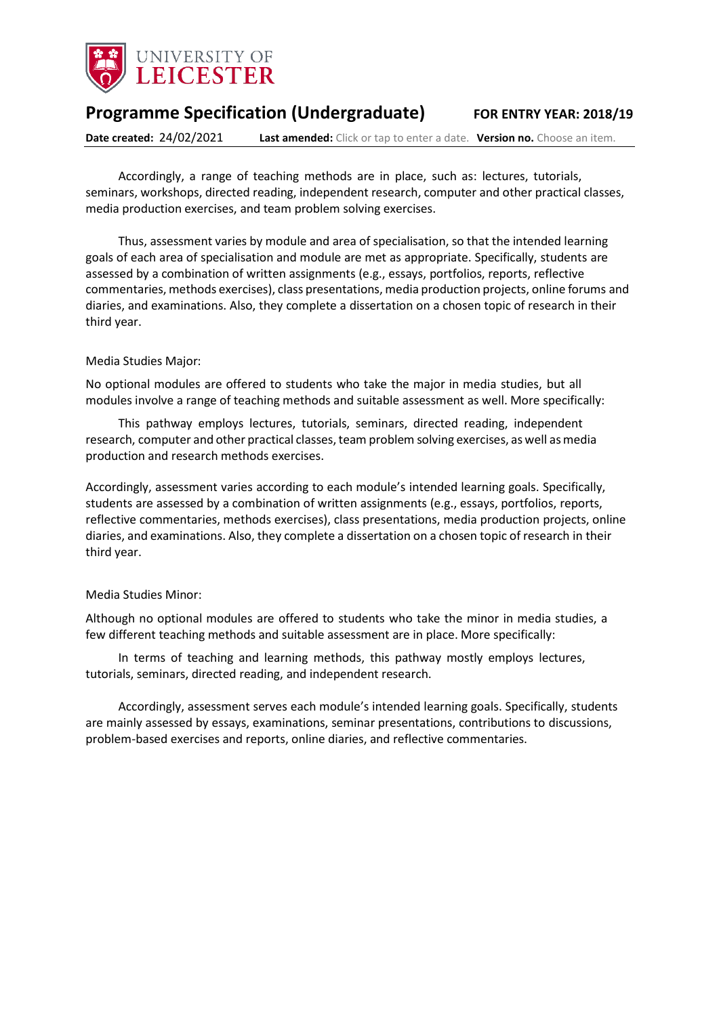

# **Programme Specification (Undergraduate) FOR ENTRY YEAR: 2018/19**

**Date created:** 24/02/2021 **Last amended:** Click or tap to enter a date. **Version no.** Choose an item.

Accordingly, a range of teaching methods are in place, such as: lectures, tutorials, seminars, workshops, directed reading, independent research, computer and other practical classes, media production exercises, and team problem solving exercises.

Thus, assessment varies by module and area of specialisation, so that the intended learning goals of each area of specialisation and module are met as appropriate. Specifically, students are assessed by a combination of written assignments (e.g., essays, portfolios, reports, reflective commentaries, methods exercises), class presentations, media production projects, online forums and diaries, and examinations. Also, they complete a dissertation on a chosen topic of research in their third year.

#### Media Studies Major:

No optional modules are offered to students who take the major in media studies, but all modules involve a range of teaching methods and suitable assessment as well. More specifically:

This pathway employs lectures, tutorials, seminars, directed reading, independent research, computer and other practical classes, team problem solving exercises, as well as media production and research methods exercises.

Accordingly, assessment varies according to each module's intended learning goals. Specifically, students are assessed by a combination of written assignments (e.g., essays, portfolios, reports, reflective commentaries, methods exercises), class presentations, media production projects, online diaries, and examinations. Also, they complete a dissertation on a chosen topic of research in their third year.

#### Media Studies Minor:

Although no optional modules are offered to students who take the minor in media studies, a few different teaching methods and suitable assessment are in place. More specifically:

In terms of teaching and learning methods, this pathway mostly employs lectures, tutorials, seminars, directed reading, and independent research.

Accordingly, assessment serves each module's intended learning goals. Specifically, students are mainly assessed by essays, examinations, seminar presentations, contributions to discussions, problem-based exercises and reports, online diaries, and reflective commentaries.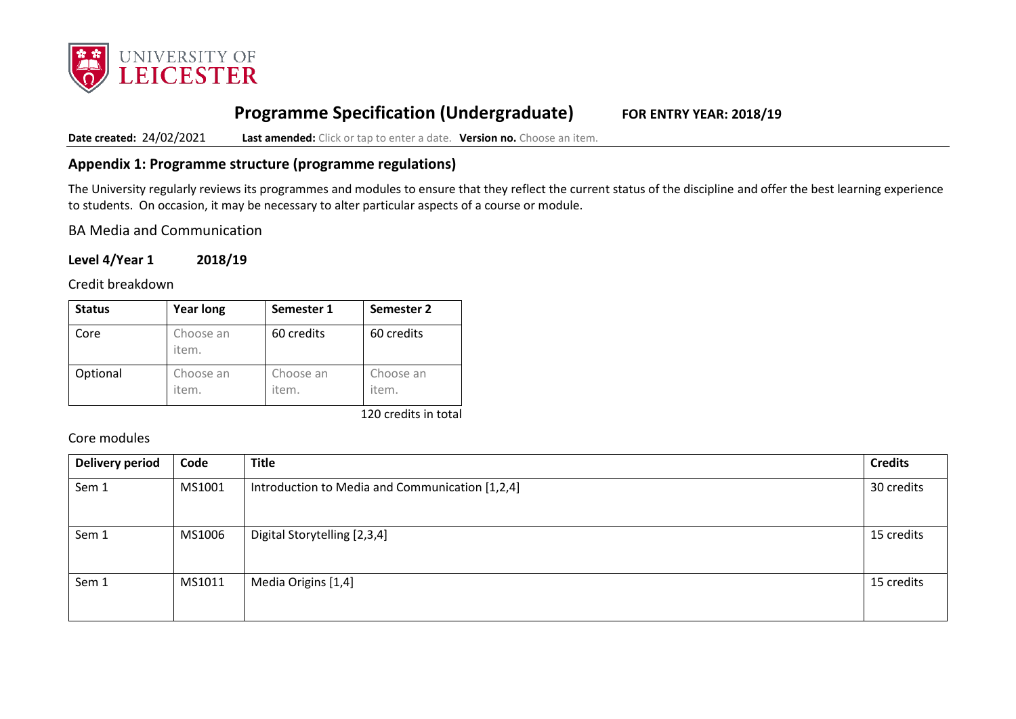

# **Programme Specification (Undergraduate) FOR ENTRY YEAR: 2018/19**

**Date created:** 24/02/2021 **Last amended:** Click or tap to enter a date. **Version no.** Choose an item.

### **Appendix 1: Programme structure (programme regulations)**

The University regularly reviews its programmes and modules to ensure that they reflect the current status of the discipline and offer the best learning experience to students. On occasion, it may be necessary to alter particular aspects of a course or module.

BA Media and Communication

**Level 4/Year 1 2018/19**

Credit breakdown

| <b>Status</b> | <b>Year long</b>   | Semester 1         | Semester 2         |
|---------------|--------------------|--------------------|--------------------|
| Core          | Choose an<br>item. | 60 credits         | 60 credits         |
| Optional      | Choose an<br>item. | Choose an<br>item. | Choose an<br>item. |

120 credits in total

Core modules

| <b>Delivery period</b> | Code   | <b>Title</b>                                    | <b>Credits</b> |
|------------------------|--------|-------------------------------------------------|----------------|
| Sem 1                  | MS1001 | Introduction to Media and Communication [1,2,4] | 30 credits     |
| Sem 1                  | MS1006 | Digital Storytelling [2,3,4]                    | 15 credits     |
| Sem 1                  | MS1011 | Media Origins [1,4]                             | 15 credits     |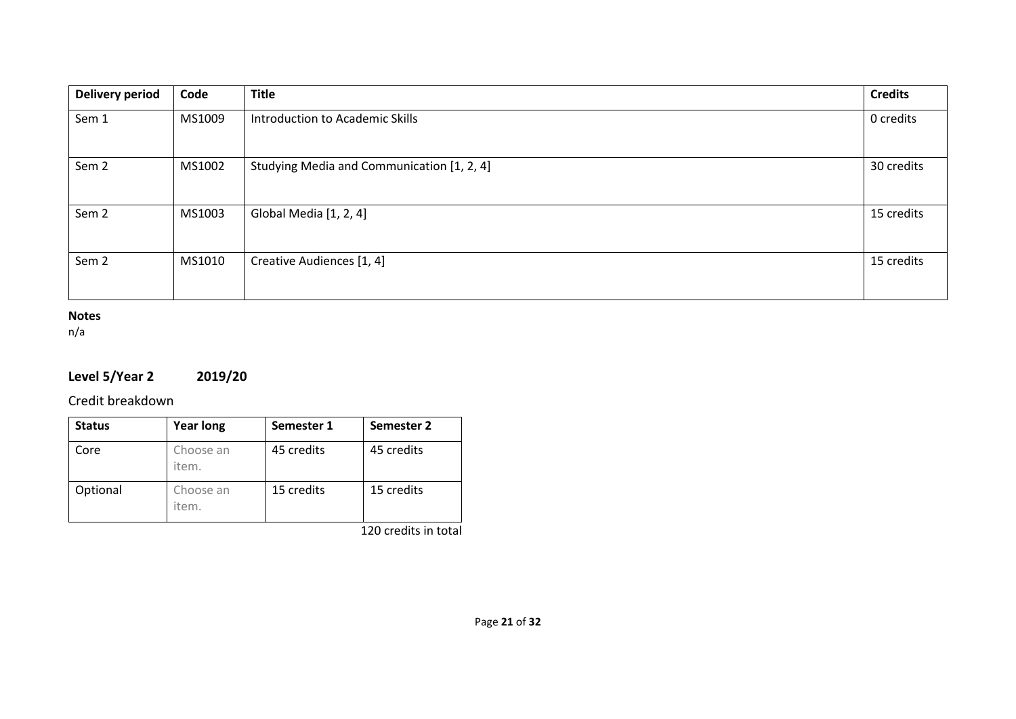| <b>Delivery period</b> | Code   | <b>Title</b>                               | <b>Credits</b> |
|------------------------|--------|--------------------------------------------|----------------|
| Sem 1                  | MS1009 | Introduction to Academic Skills            | 0 credits      |
| Sem <sub>2</sub>       | MS1002 | Studying Media and Communication [1, 2, 4] | 30 credits     |
| Sem <sub>2</sub>       | MS1003 | Global Media [1, 2, 4]                     | 15 credits     |
| Sem <sub>2</sub>       | MS1010 | Creative Audiences [1, 4]                  | 15 credits     |

## **Notes**

n/a

# **Level 5/Year 2 2019/20**

Credit breakdown

| <b>Status</b> | <b>Year long</b>   | Semester 1 | Semester 2 |
|---------------|--------------------|------------|------------|
| Core          | Choose an<br>item. | 45 credits | 45 credits |
| Optional      | Choose an<br>item. | 15 credits | 15 credits |

120 credits in total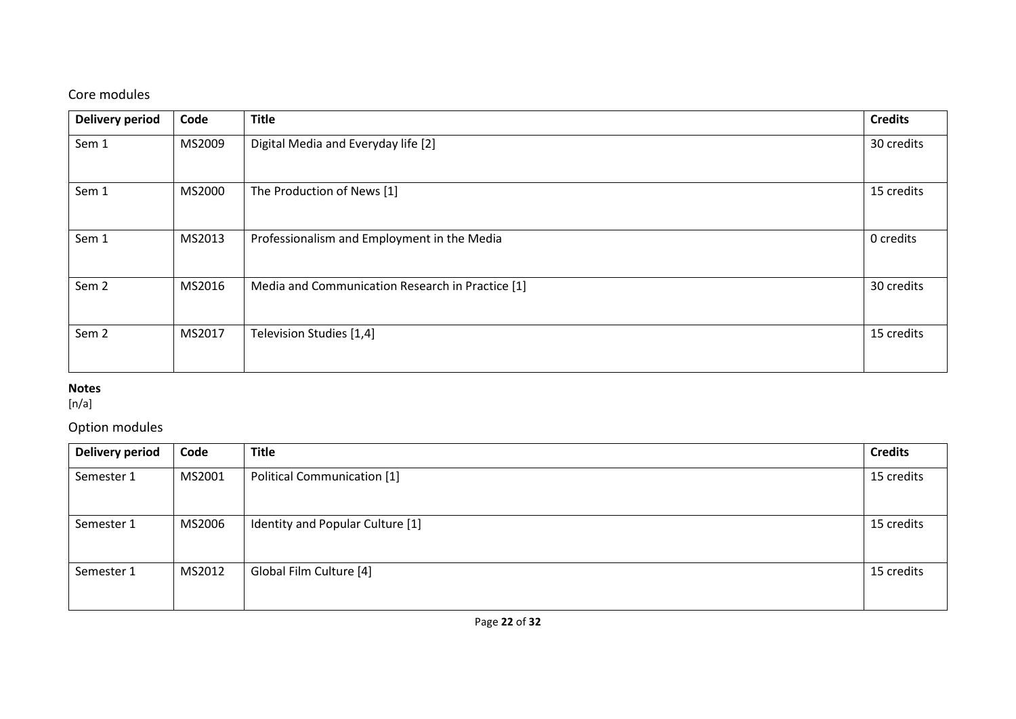# Core modules

| <b>Delivery period</b> | Code   | <b>Title</b>                                     | <b>Credits</b> |
|------------------------|--------|--------------------------------------------------|----------------|
| Sem 1                  | MS2009 | Digital Media and Everyday life [2]              | 30 credits     |
| Sem 1                  | MS2000 | The Production of News [1]                       | 15 credits     |
| Sem 1                  | MS2013 | Professionalism and Employment in the Media      | 0 credits      |
| Sem <sub>2</sub>       | MS2016 | Media and Communication Research in Practice [1] | 30 credits     |
| Sem <sub>2</sub>       | MS2017 | Television Studies [1,4]                         | 15 credits     |

# **Notes**

[n/a]

# Option modules

| <b>Delivery period</b> | Code   | <b>Title</b>                       | <b>Credits</b> |
|------------------------|--------|------------------------------------|----------------|
| Semester 1             | MS2001 | <b>Political Communication [1]</b> | 15 credits     |
| Semester 1             | MS2006 | Identity and Popular Culture [1]   | 15 credits     |
| Semester 1             | MS2012 | Global Film Culture [4]            | 15 credits     |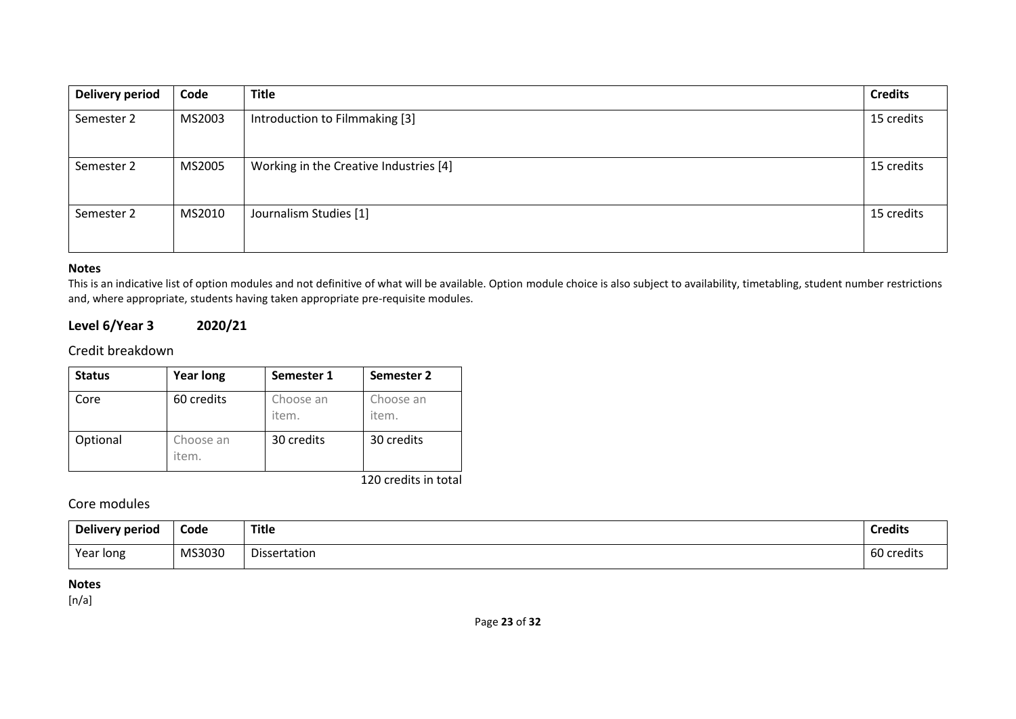| <b>Delivery period</b> | Code   | <b>Title</b>                           | <b>Credits</b> |
|------------------------|--------|----------------------------------------|----------------|
| Semester 2             | MS2003 | Introduction to Filmmaking [3]         | 15 credits     |
| Semester 2             | MS2005 | Working in the Creative Industries [4] | 15 credits     |
| Semester 2             | MS2010 | Journalism Studies [1]                 | 15 credits     |

#### **Notes**

This is an indicative list of option modules and not definitive of what will be available. Option module choice is also subject to availability, timetabling, student number restrictions and, where appropriate, students having taken appropriate pre-requisite modules.

### **Level 6/Year 3 2020/21**

### Credit breakdown

| <b>Status</b> | <b>Year long</b>   | Semester 1         | Semester 2         |
|---------------|--------------------|--------------------|--------------------|
| Core          | 60 credits         | Choose an<br>item. | Choose an<br>item. |
| Optional      | Choose an<br>item. | 30 credits         | 30 credits         |

120 credits in total

### Core modules

| Delivery period | <u>—</u><br>Code | <b>Title</b> | <b>Credits</b> |
|-----------------|------------------|--------------|----------------|
| Year long       | MS3030           | Dissertation | 60 credits     |

### **Notes**

 $[n/a]$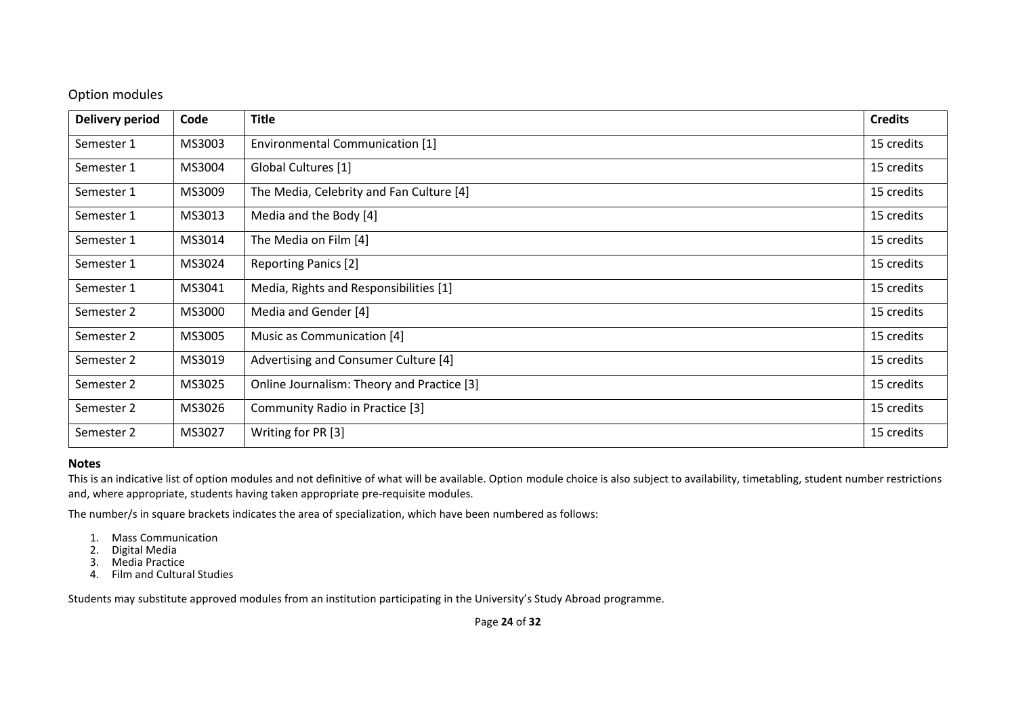### Option modules

| <b>Delivery period</b> | Code   | <b>Title</b>                               | <b>Credits</b> |
|------------------------|--------|--------------------------------------------|----------------|
| Semester 1             | MS3003 | Environmental Communication [1]            | 15 credits     |
| Semester 1             | MS3004 | Global Cultures [1]                        | 15 credits     |
| Semester 1             | MS3009 | The Media, Celebrity and Fan Culture [4]   | 15 credits     |
| Semester 1             | MS3013 | Media and the Body [4]                     | 15 credits     |
| Semester 1             | MS3014 | The Media on Film [4]                      | 15 credits     |
| Semester 1             | MS3024 | <b>Reporting Panics [2]</b>                | 15 credits     |
| Semester 1             | MS3041 | Media, Rights and Responsibilities [1]     | 15 credits     |
| Semester 2             | MS3000 | Media and Gender [4]                       | 15 credits     |
| Semester 2             | MS3005 | Music as Communication [4]                 | 15 credits     |
| Semester 2             | MS3019 | Advertising and Consumer Culture [4]       | 15 credits     |
| Semester 2             | MS3025 | Online Journalism: Theory and Practice [3] | 15 credits     |
| Semester 2             | MS3026 | Community Radio in Practice [3]            | 15 credits     |
| Semester 2             | MS3027 | Writing for PR [3]                         | 15 credits     |

#### **Notes**

This is an indicative list of option modules and not definitive of what will be available. Option module choice is also subject to availability, timetabling, student number restrictions and, where appropriate, students having taken appropriate pre-requisite modules.

The number/s in square brackets indicates the area of specialization, which have been numbered as follows:

- 1. Mass Communication
- 2. Digital Media
- 3. Media Practice
- 4. Film and Cultural Studies

Students may substitute approved modules from an institution participating in the University's Study Abroad programme.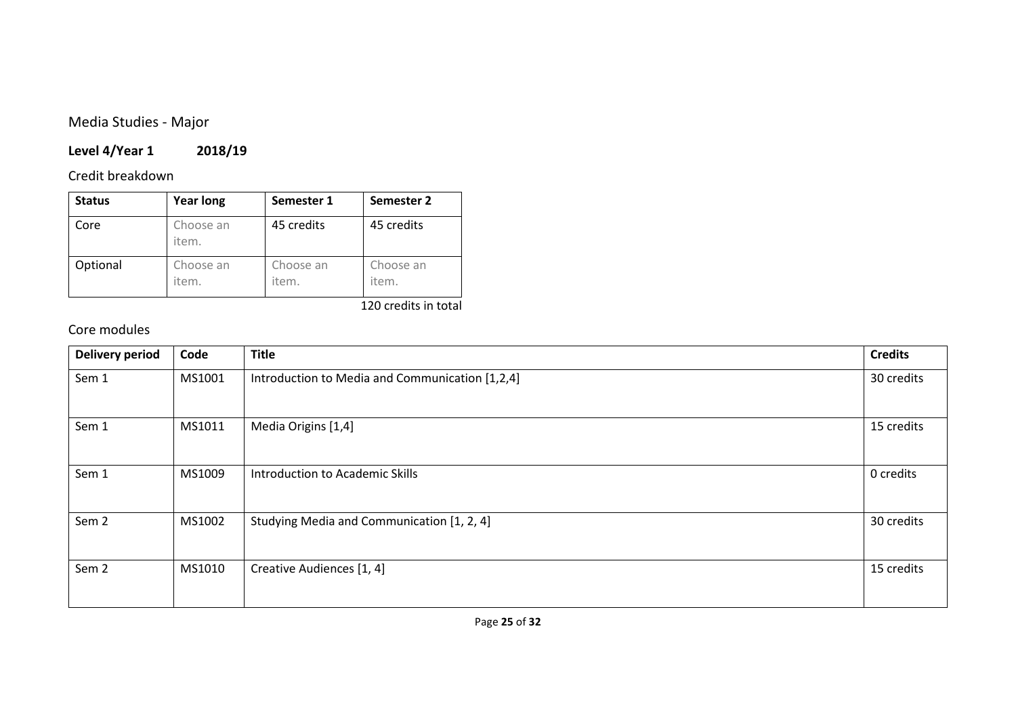# Media Studies - Major

# **Level 4/Year 1 2018/19**

# Credit breakdown

| <b>Status</b> | <b>Year long</b>   | Semester 1         | Semester 2         |
|---------------|--------------------|--------------------|--------------------|
| Core          | Choose an<br>item. | 45 credits         | 45 credits         |
| Optional      | Choose an<br>item. | Choose an<br>item. | Choose an<br>item. |

### 120 credits in total

# Core modules

| <b>Delivery period</b> | Code   | <b>Title</b>                                    | <b>Credits</b> |
|------------------------|--------|-------------------------------------------------|----------------|
| Sem 1                  | MS1001 | Introduction to Media and Communication [1,2,4] | 30 credits     |
| Sem 1                  | MS1011 | Media Origins [1,4]                             | 15 credits     |
| Sem 1                  | MS1009 | Introduction to Academic Skills                 | 0 credits      |
| Sem <sub>2</sub>       | MS1002 | Studying Media and Communication [1, 2, 4]      | 30 credits     |
| Sem <sub>2</sub>       | MS1010 | Creative Audiences [1, 4]                       | 15 credits     |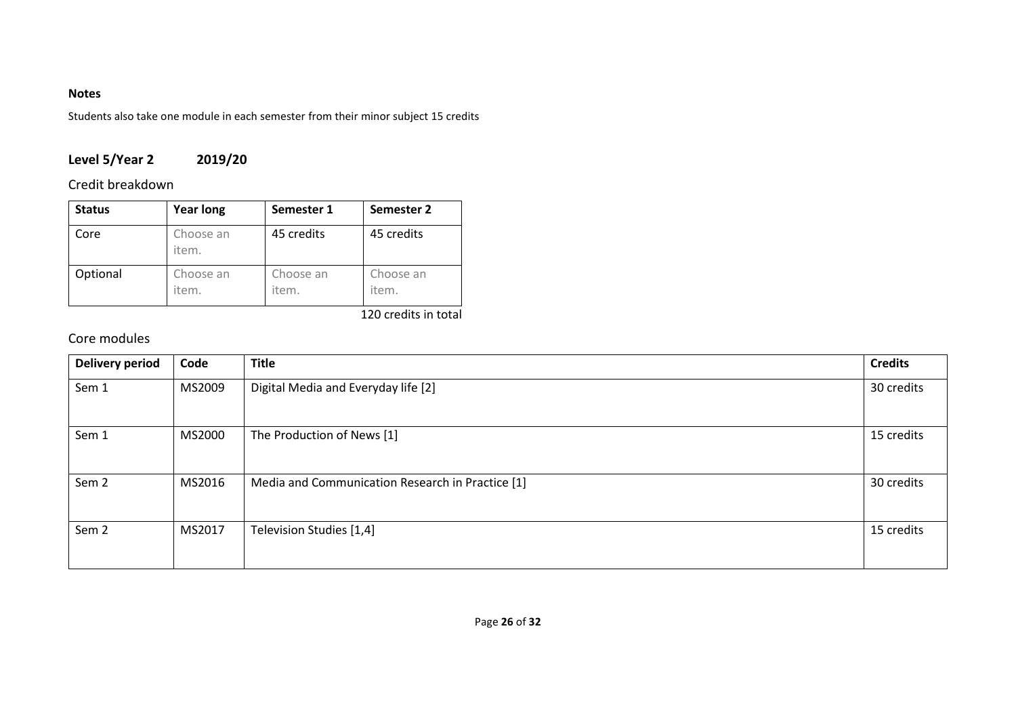### **Notes**

Students also take one module in each semester from their minor subject 15 credits

# **Level 5/Year 2 2019/20**

# Credit breakdown

| <b>Status</b> | <b>Year long</b>   | Semester 1         | Semester 2         |
|---------------|--------------------|--------------------|--------------------|
| Core          | Choose an<br>item. | 45 credits         | 45 credits         |
| Optional      | Choose an<br>item. | Choose an<br>item. | Choose an<br>item. |

### 120 credits in total

# Core modules

| <b>Delivery period</b> | Code   | <b>Title</b>                                     | <b>Credits</b> |
|------------------------|--------|--------------------------------------------------|----------------|
| Sem 1                  | MS2009 | Digital Media and Everyday life [2]              | 30 credits     |
| Sem 1                  | MS2000 | The Production of News [1]                       | 15 credits     |
| Sem <sub>2</sub>       | MS2016 | Media and Communication Research in Practice [1] | 30 credits     |
| Sem <sub>2</sub>       | MS2017 | Television Studies [1,4]                         | 15 credits     |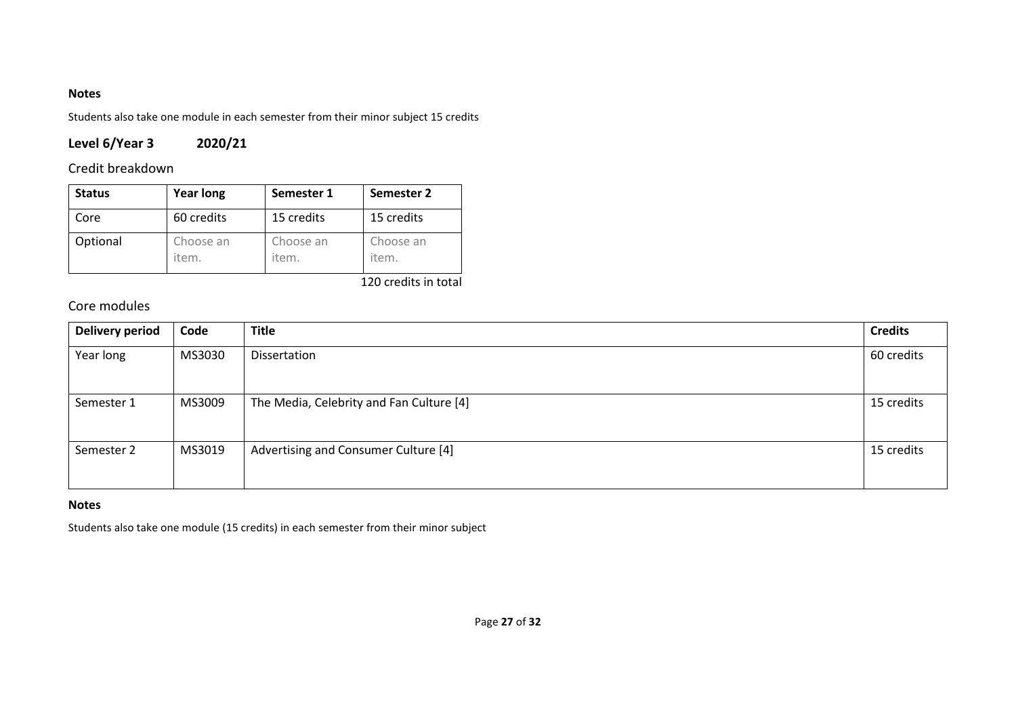### **Notes**

Students also take one module in each semester from their minor subject 15 credits

# **Level 6/Year 3 2020/21**

# Credit breakdown

| <b>Status</b> | <b>Year long</b>   | Semester 1         | Semester 2         |
|---------------|--------------------|--------------------|--------------------|
| Core          | 60 credits         | 15 credits         | 15 credits         |
| Optional      | Choose an<br>item. | Choose an<br>item. | Choose an<br>item. |

120 credits in total

# Core modules

| <b>Delivery period</b> | Code   | <b>Title</b>                             | <b>Credits</b> |
|------------------------|--------|------------------------------------------|----------------|
| Year long              | MS3030 | Dissertation                             | 60 credits     |
| Semester 1             | MS3009 | The Media, Celebrity and Fan Culture [4] | 15 credits     |
| Semester 2             | MS3019 | Advertising and Consumer Culture [4]     | 15 credits     |

### **Notes**

Students also take one module (15 credits) in each semester from their minor subject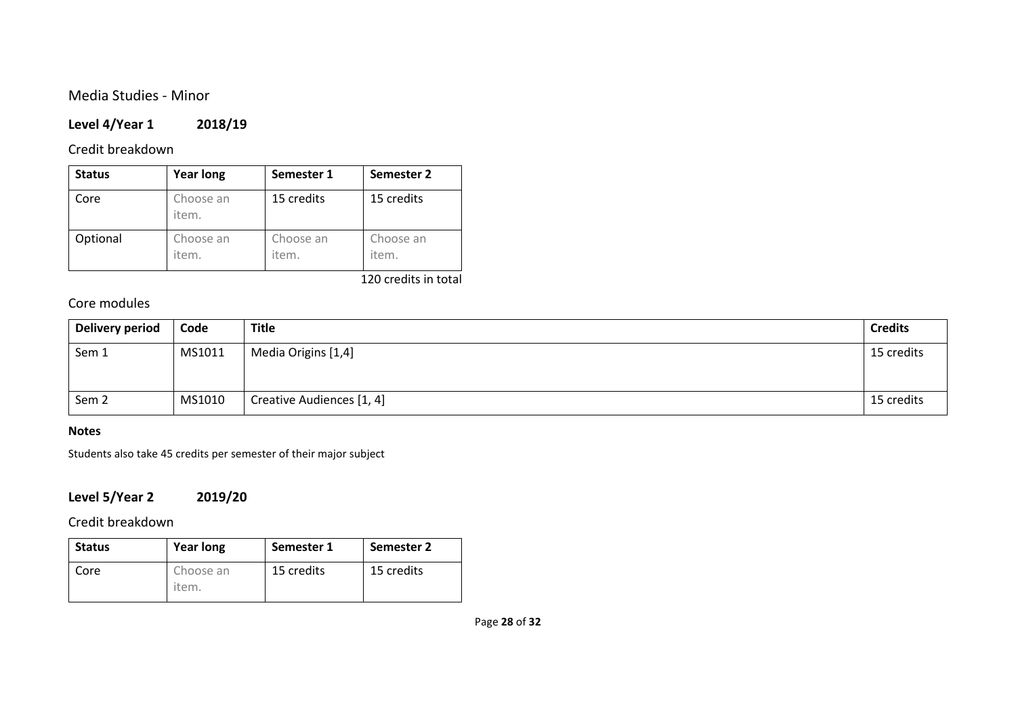## Media Studies - Minor

### **Level 4/Year 1 2018/19**

### Credit breakdown

| <b>Status</b> | <b>Year long</b>   | Semester 1         | Semester 2         |
|---------------|--------------------|--------------------|--------------------|
| Core          | Choose an<br>item. | 15 credits         | 15 credits         |
| Optional      | Choose an<br>item. | Choose an<br>item. | Choose an<br>item. |

120 credits in total

## Core modules

| Delivery period  | Code   | <b>Title</b>              | <b>Credits</b> |
|------------------|--------|---------------------------|----------------|
| Sem 1            | MS1011 | Media Origins [1,4]       | 15 credits     |
| Sem <sub>2</sub> | MS1010 | Creative Audiences [1, 4] | 15 credits     |

### **Notes**

Students also take 45 credits per semester of their major subject

# **Level 5/Year 2 2019/20**

Credit breakdown

| <b>Status</b> | <b>Year long</b>   | Semester 1 | Semester 2 |
|---------------|--------------------|------------|------------|
| Core          | Choose an<br>item. | 15 credits | 15 credits |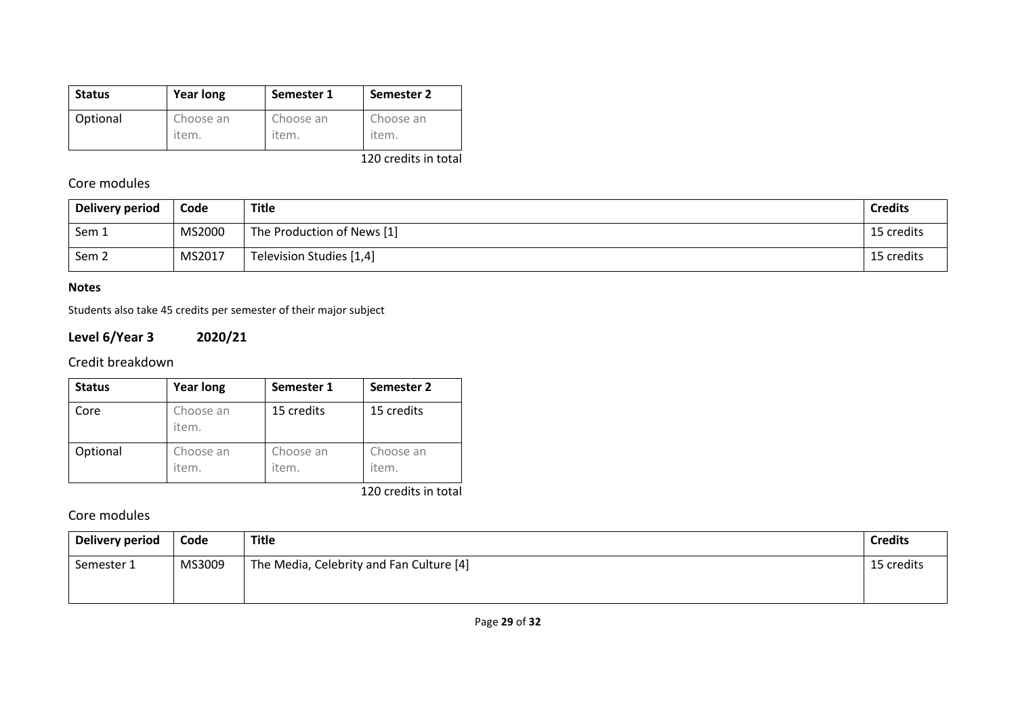| <b>Status</b> | <b>Year long</b> | Semester 1 | Semester 2 |
|---------------|------------------|------------|------------|
| Optional      | Choose an        | Choose an  | Choose an  |
|               | item.            | item.      | item.      |

120 credits in total

# Core modules

| Delivery period | Code   | Title                      | <b>Credits</b> |
|-----------------|--------|----------------------------|----------------|
| Sem 1           | MS2000 | The Production of News [1] | 15 credits     |
| Sem 2           | MS2017 | Television Studies [1,4]   | 15 credits     |

### **Notes**

Students also take 45 credits per semester of their major subject

# **Level 6/Year 3 2020/21**

# Credit breakdown

| <b>Status</b> | <b>Year long</b>   | Semester 1         | Semester 2         |
|---------------|--------------------|--------------------|--------------------|
| Core          | Choose an<br>item. | 15 credits         | 15 credits         |
| Optional      | Choose an<br>item. | Choose an<br>item. | Choose an<br>item. |

120 credits in total

## Core modules

| <b>Delivery period</b> | Code   | <b>Title</b>                             | <b>Credits</b> |
|------------------------|--------|------------------------------------------|----------------|
| Semester 1             | MS3009 | The Media, Celebrity and Fan Culture [4] | 15 credits     |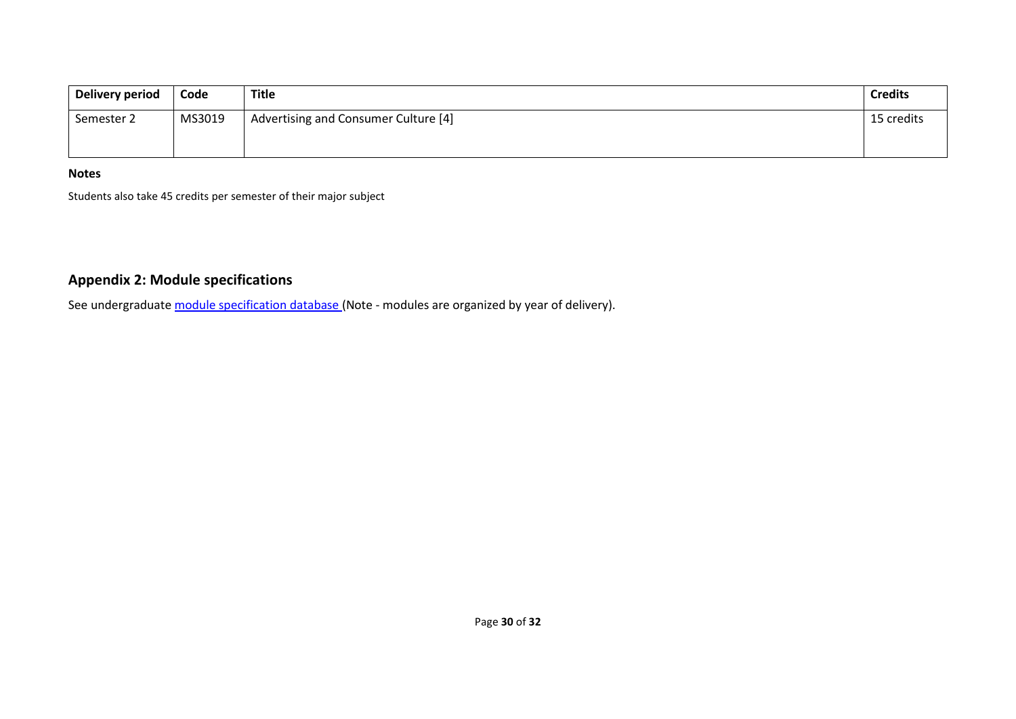| Delivery period | Code   | Title                                | <b>Credits</b> |
|-----------------|--------|--------------------------------------|----------------|
| Semester 2      | MS3019 | Advertising and Consumer Culture [4] | 15 credits     |

### **Notes**

Students also take 45 credits per semester of their major subject

# **Appendix 2: Module specifications**

See undergraduat[e module specification database](http://www.le.ac.uk/sas/courses/documentation) (Note - modules are organized by year of delivery).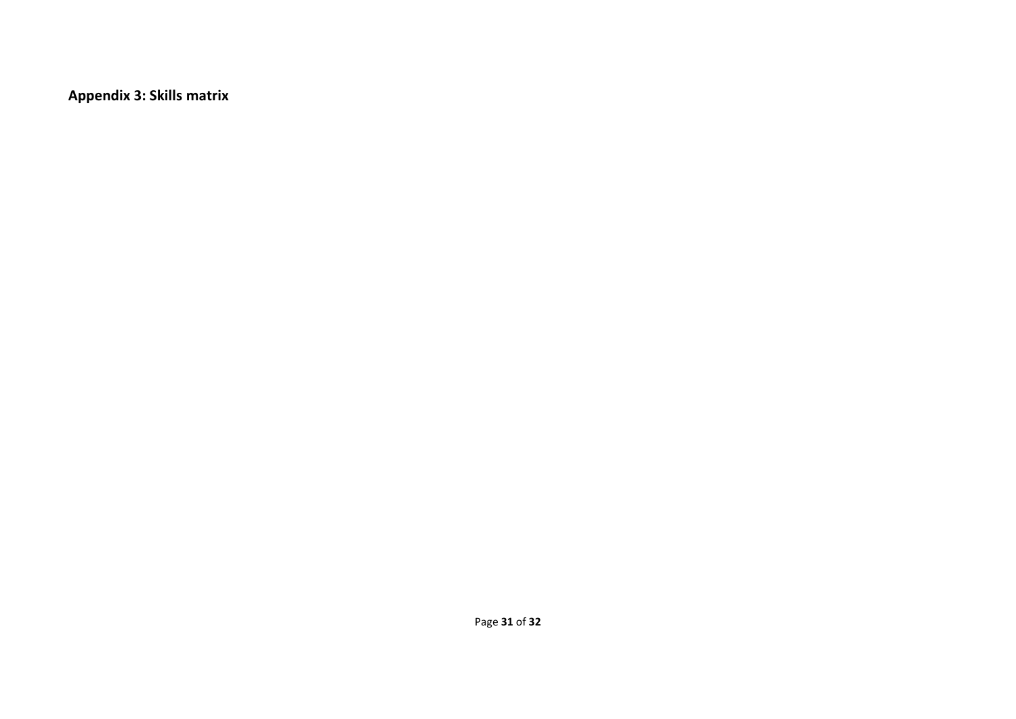**Appendix 3: Skills matrix**